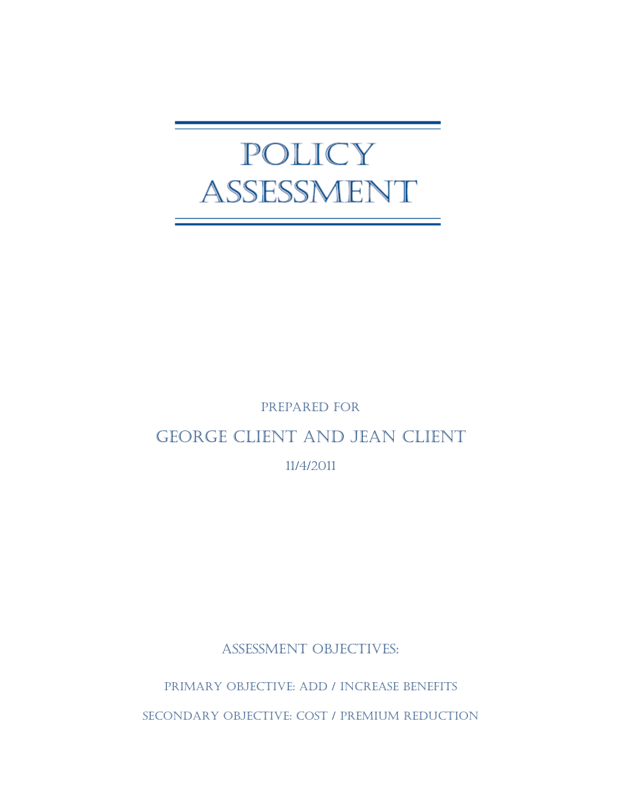# POLICY ASSESSMENT

# PREPARED FOR

# GEORGE CLIENT AND JEAN CLIENT

11/4/2011

ASSESSMENT OBJECTIVES:

PRIMARY OBJECTIVE: ADD / INCREASE BENEFITS

SECONDARY OBJECTIVE: COST / PREMIUM REDUCTION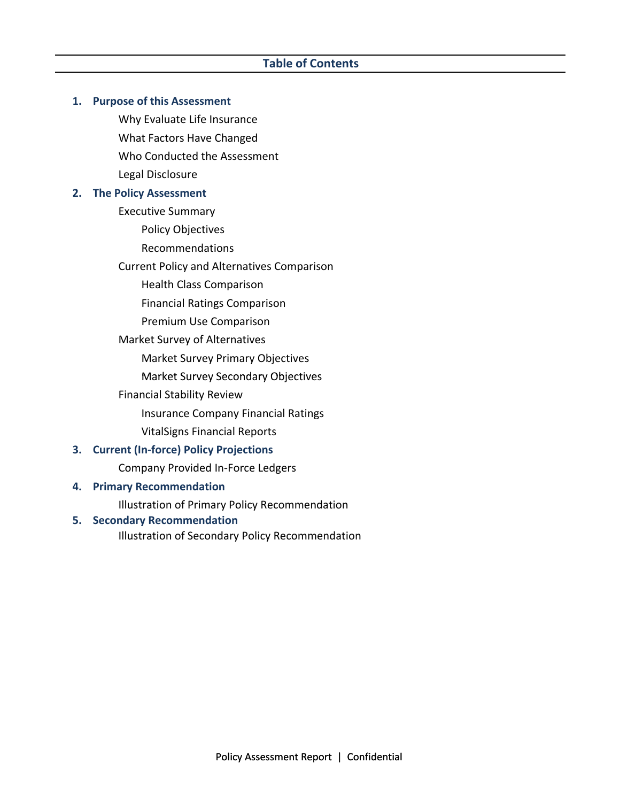### **1. Purpose of this Assessment**

Why Evaluate Life Insurance What Factors Have Changed Who Conducted the Assessment Legal Disclosure

### **2. The Policy Assessment**

Executive Summary

Policy Objectives

Recommendations

Current Policy and Alternatives Comparison

Health Class Comparison

Financial Ratings Comparison

- Premium Use Comparison
- Market Survey of Alternatives

Market Survey Primary Objectives

Market Survey Secondary Objectives

Financial Stability Review

Insurance Company Financial Ratings

VitalSigns Financial Reports

### **3. Current (In‐force) Policy Projections**

Company Provided In‐Force Ledgers

### **4. Primary Recommendation**

Illustration of Primary Policy Recommendation

### **5. Secondary Recommendation**

Illustration of Secondary Policy Recommendation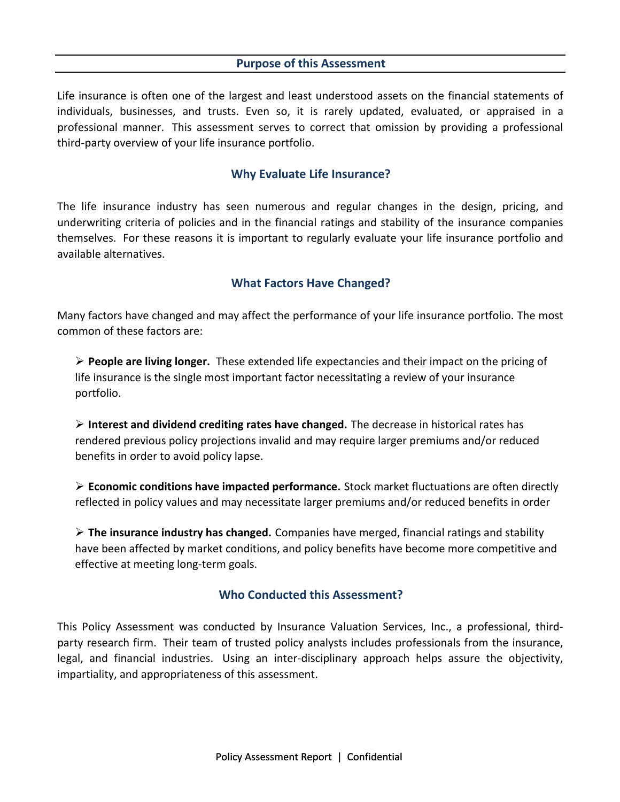### **Purpose of this Assessment**

Life insurance is often one of the largest and least understood assets on the financial statements of individuals, businesses, and trusts. Even so, it is rarely updated, evaluated, or appraised in a professional manner. This assessment serves to correct that omission by providing a professional third‐party overview of your life insurance portfolio.

### **Why Evaluate Life Insurance?**

The life insurance industry has seen numerous and regular changes in the design, pricing, and underwriting criteria of policies and in the financial ratings and stability of the insurance companies themselves. For these reasons it is important to regularly evaluate your life insurance portfolio and available alternatives.

## **What Factors Have Changed?**

Many factors have changed and may affect the performance of your life insurance portfolio. The most common of these factors are:

 **People are living longer.** These extended life expectancies and their impact on the pricing of life insurance is the single most important factor necessitating a review of your insurance portfolio.

 **Interest and dividend crediting rates have changed.** The decrease in historical rates has rendered previous policy projections invalid and may require larger premiums and/or reduced benefits in order to avoid policy lapse.

 **Economic conditions have impacted performance.** Stock market fluctuations are often directly reflected in policy values and may necessitate larger premiums and/or reduced benefits in order

 **The insurance industry has changed.** Companies have merged, financial ratings and stability have been affected by market conditions, and policy benefits have become more competitive and effective at meeting long‐term goals.

### **Who Conducted this Assessment?**

This Policy Assessment was conducted by Insurance Valuation Services, Inc., a professional, third‐ party research firm. Their team of trusted policy analysts includes professionals from the insurance, legal, and financial industries. Using an inter‐disciplinary approach helps assure the objectivity, impartiality, and appropriateness of this assessment.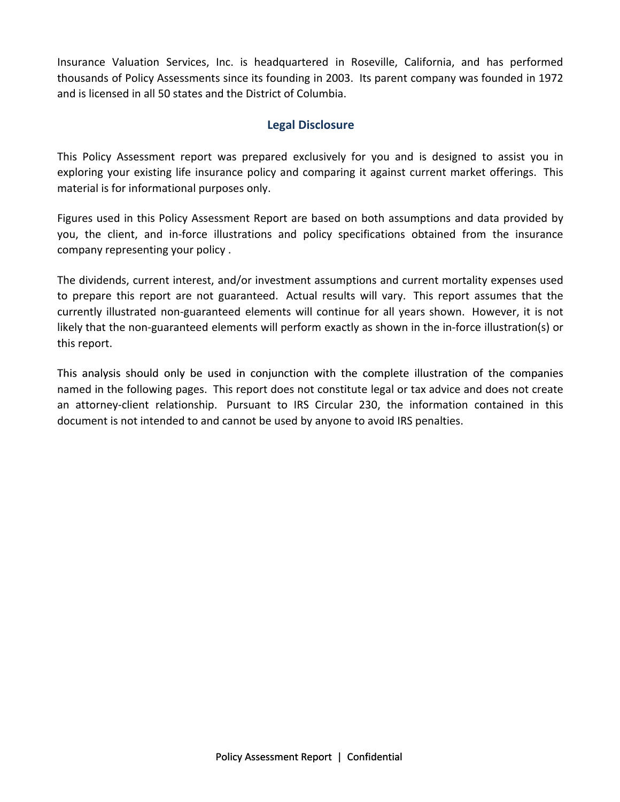Insurance Valuation Services, Inc. is headquartered in Roseville, California, and has performed thousands of Policy Assessments since its founding in 2003. Its parent company was founded in 1972 and is licensed in all 50 states and the District of Columbia.

## **Legal Disclosure**

This Policy Assessment report was prepared exclusively for you and is designed to assist you in exploring your existing life insurance policy and comparing it against current market offerings. This material is for informational purposes only.

Figures used in this Policy Assessment Report are based on both assumptions and data provided by you, the client, and in‐force illustrations and policy specifications obtained from the insurance company representing your policy .

The dividends, current interest, and/or investment assumptions and current mortality expenses used to prepare this report are not guaranteed. Actual results will vary. This report assumes that the currently illustrated non‐guaranteed elements will continue for all years shown. However, it is not likely that the non‐guaranteed elements will perform exactly as shown in the in‐force illustration(s) or this report.

This analysis should only be used in conjunction with the complete illustration of the companies named in the following pages. This report does not constitute legal or tax advice and does not create an attorney-client relationship. Pursuant to IRS Circular 230, the information contained in this document is not intended to and cannot be used by anyone to avoid IRS penalties.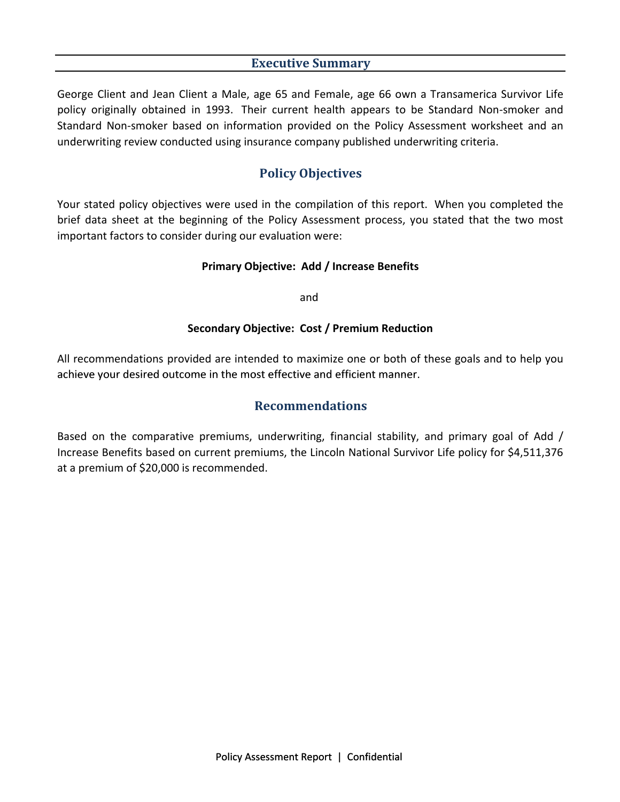## **Executive Summary**

George Client and Jean Client a Male, age 65 and Female, age 66 own a Transamerica Survivor Life policy originally obtained in 1993. Their current health appears to be Standard Non‐smoker and Standard Non‐smoker based on information provided on the Policy Assessment worksheet and an underwriting review conducted using insurance company published underwriting criteria.

# **Policy Objectives**

Your stated policy objectives were used in the compilation of this report. When you completed the brief data sheet at the beginning of the Policy Assessment process, you stated that the two most important factors to consider during our evaluation were:

### **Primary Objective: Add / Increase Benefits**

and

### **Secondary Objective: Cost / Premium Reduction**

All recommendations provided are intended to maximize one or both of these goals and to help you achieve your desired outcome in the most effective and efficient manner manner.

## **Recommendations**

Based on the comparative premiums, underwriting, financial stability, and primary goal of Add / Increase Benefits based on current premiums, the Lincoln National Survivor Life policy for \$4,511,376 at a premium of \$20,000 is recommended.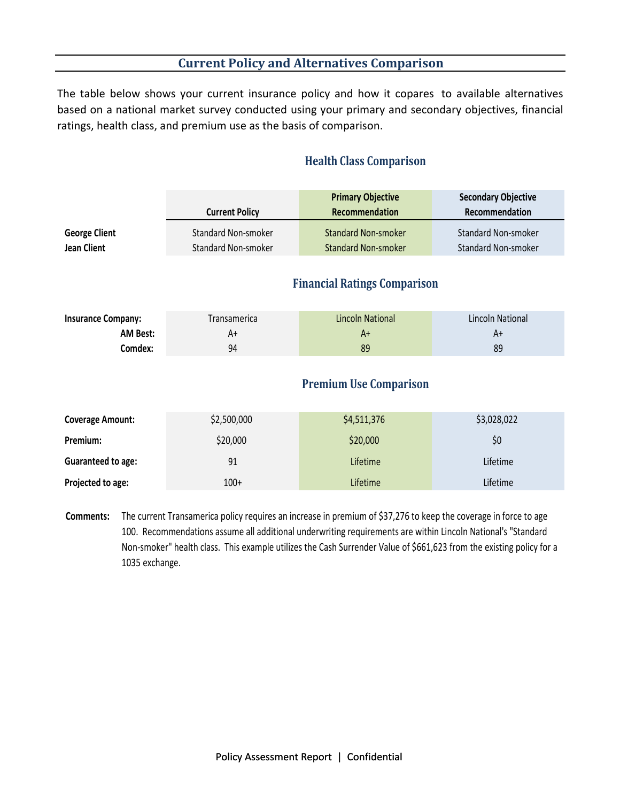# **Current Policy and Alternatives Comparison**

The table below shows your current insurance policy and how it copares to available alternatives based on a national market survey conducted using your primary and secondary objectives, financial ratings, health class, and premium use as the basis of comparison.

|                                            | <b>Current Policy</b>                             | <b>Primary Objective</b><br>Recommendation               | <b>Secondary Objective</b><br>Recommendation      |
|--------------------------------------------|---------------------------------------------------|----------------------------------------------------------|---------------------------------------------------|
| <b>George Client</b><br><b>Jean Client</b> | <b>Standard Non-smoker</b><br>Standard Non-smoker | <b>Standard Non-smoker</b><br><b>Standard Non-smoker</b> | <b>Standard Non-smoker</b><br>Standard Non-smoker |
|                                            |                                                   | <b>Financial Ratings Comparison</b>                      |                                                   |
| <b>Insurance Company:</b>                  | Transamerica                                      | <b>Lincoln National</b>                                  | <b>Lincoln National</b>                           |
| AM Best:                                   | A+                                                | $A+$                                                     | $A+$                                              |
| Comdex:                                    | 94                                                | 89                                                       | 89                                                |
|                                            |                                                   | <b>Premium Use Comparison</b>                            |                                                   |
| <b>Coverage Amount:</b>                    | \$2,500,000                                       | \$4,511,376                                              | \$3,028,022                                       |
| Premium:                                   | \$20,000                                          | \$20,000                                                 | \$0\$                                             |
| Guaranteed to age:                         | 91                                                | Lifetime                                                 | Lifetime                                          |
| Projected to age:                          | $100+$                                            | Lifetime                                                 | Lifetime                                          |
|                                            |                                                   |                                                          |                                                   |

## **Health Class Comparison**

**Comments:** The current Transamerica policy requires an increase in premium of \$37,276 to keep the coverage in force to age 100. Recommendations assume all additional underwriting requirements are within Lincoln National's "Standard Non-smoker" health class. This example utilizes the Cash Surrender Value of \$661,623 from the existing policy for a 1035 exchange.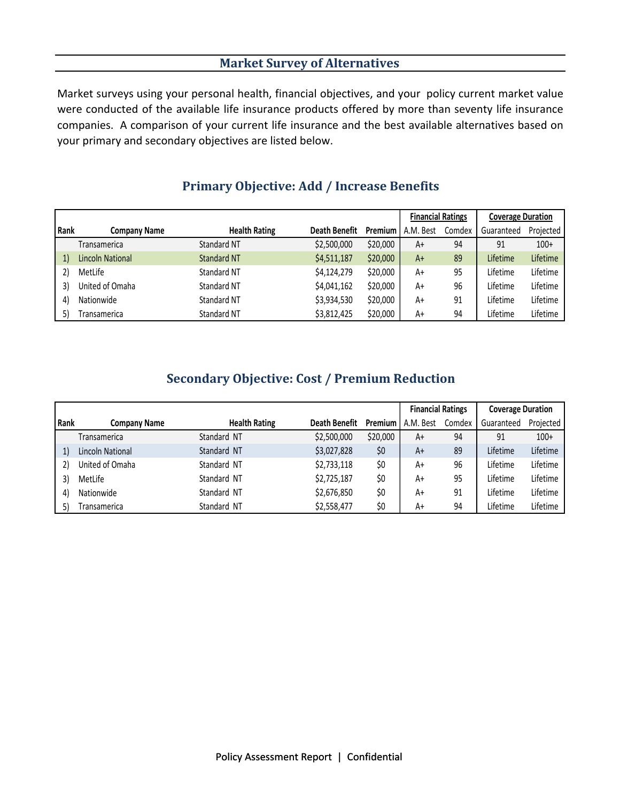# **Market Survey of Alternatives**

Market surveys using your personal health, financial objectives, and your policy current market value were conducted of the available life insurance products offered by more than seventy life insurance companies. A comparison of your current life insurance and the best available alternatives based on your primary and secondary objectives are listed below.

|      |                     |                      |                      |          | <b>Financial Ratings</b> |        | <b>Coverage Duration</b> |           |
|------|---------------------|----------------------|----------------------|----------|--------------------------|--------|--------------------------|-----------|
| Rank | <b>Company Name</b> | <b>Health Rating</b> | <b>Death Benefit</b> | Premium  | A.M. Best                | Comdex | Guaranteed               | Projected |
|      | Transamerica        | <b>Standard NT</b>   | \$2,500,000          | \$20,000 | A+                       | 94     | 91                       | $100+$    |
| 1)   | Lincoln National    | <b>Standard NT</b>   | \$4,511,187          | \$20,000 | $A+$                     | 89     | Lifetime                 | Lifetime  |
| 2)   | MetLife             | Standard NT          | \$4,124,279          | \$20,000 | A+                       | 95     | Lifetime                 | Lifetime  |
| 3)   | United of Omaha     | Standard NT          | \$4,041,162          | \$20,000 | A+                       | 96     | Lifetime                 | Lifetime  |
| 4)   | Nationwide          | Standard NT          | \$3,934,530          | \$20,000 | A+                       | 91     | Lifetime                 | Lifetime  |
| 5)   | Transamerica        | Standard NT          | \$3,812,425          | \$20,000 | A+                       | 94     | Lifetime                 | Lifetime  |

# **Primary Objective: Add / Increase Benefits**

# **Secondary Objective: Cost / Premium Reduction**

|      |                     |                      |                      |          | <b>Financial Ratings</b> |        | <b>Coverage Duration</b> |           |
|------|---------------------|----------------------|----------------------|----------|--------------------------|--------|--------------------------|-----------|
| Rank | Company Name        | <b>Health Rating</b> | <b>Death Benefit</b> | Premium  | A.M. Best                | Comdex | Guaranteed               | Projected |
|      | <b>Transamerica</b> | Standard NT          | \$2,500,000          | \$20,000 | A+                       | 94     | 91                       | $100+$    |
|      | Lincoln National    | Standard NT          | \$3,027,828          | \$0      | $A+$                     | 89     | Lifetime                 | Lifetime  |
|      | United of Omaha     | Standard NT          | \$2,733,118          | \$0      | A+                       | 96     | Lifetime                 | Lifetime  |
|      | MetLife             | Standard NT          | \$2,725,187          | \$0      | A+                       | 95     | Lifetime                 | Lifetime  |
| 4    | Nationwide          | Standard NT          | \$2,676,850          | \$0      | A+                       | 91     | Lifetime                 | Lifetime  |
| 5)   | <b>Transamerica</b> | Standard NT          | \$2,558,477          | \$0      | A+                       | 94     | Lifetime                 | Lifetime  |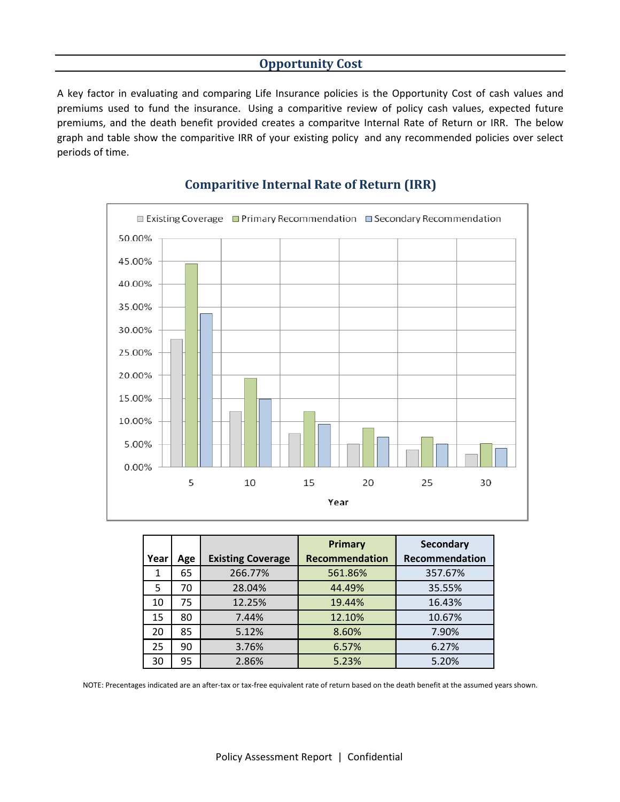### **Opportunity Cost**

A key factor in evaluating and comparing Life Insurance policies is the Opportunity Cost of cash values and premiums used to fund the insurance. Using a comparitive review of policy cash values, expected future premiums, and the death benefit provided creates a comparitve Internal Rate of Return or IRR. The below graph and table show the comparitive IRR of your existing policy and any recommended policies over select periods of time.



## **Comparitive Internal Rate of Return (IRR)**

|      |     |                          | Primary               | <b>Secondary</b> |
|------|-----|--------------------------|-----------------------|------------------|
| Year | Age | <b>Existing Coverage</b> | <b>Recommendation</b> | Recommendation   |
|      | 65  | 266.77%                  | 561.86%               | 357.67%          |
| 5    | 70  | 28.04%                   | 44.49%                | 35.55%           |
| 10   | 75  | 12.25%                   | 19.44%                | 16.43%           |
| 15   | 80  | 7.44%                    | 12.10%                | 10.67%           |
| 20   | 85  | 5.12%                    | 8.60%                 | 7.90%            |
| 25   | 90  | 3.76%                    | 6.57%                 | 6.27%            |
| 30   | 95  | 2.86%                    | 5.23%                 | 5.20%            |

NOTE: Precentages indicated are an after‐tax or tax‐free equivalent rate of return based on the death benefit at the assumed years shown.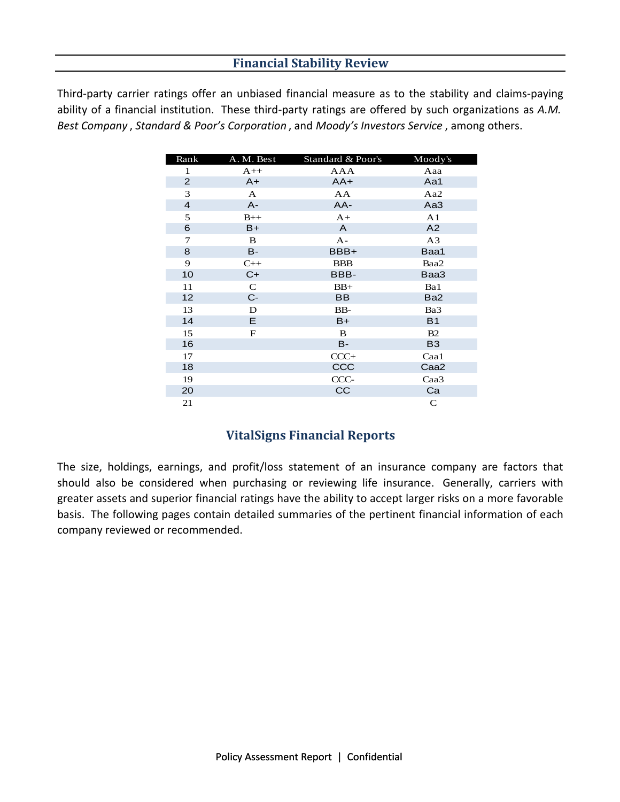# **Financial Stability Review**

Third‐party carrier ratings offer an unbiased financial measure as to the stability and claims‐paying ability of a financial institution. These third‐party ratings are offered by such organizations as *A.M. Best Company* , *Standard & Poor's Corporation* , and *Moody's Investors Service* , among others.

| Rank                    | A. M. Best   | Standard & Poor's | Moody's         |
|-------------------------|--------------|-------------------|-----------------|
| 1                       | $A++$        | AAA               | Aaa             |
| $\overline{2}$          | $A+$         | $AA+$             | Aa1             |
| 3                       | $\mathbf{A}$ | AA                | Aa2             |
| $\overline{\mathbf{4}}$ | $A -$        | AA-               | Aa3             |
| 5                       | $B++$        | $A+$              | A <sub>1</sub>  |
| 6                       | $B+$         | A                 | A2              |
| $\tau$                  | B            | $A -$             | A <sub>3</sub>  |
| 8                       | B-           | BBB+              | Baa1            |
| 9                       | $C++$        | <b>BBB</b>        | Baa2            |
| 10                      | $C+$         | BBB-              | Baa3            |
| 11                      | ${\bf C}$    | $BB+$             | Ba1             |
| 12                      | $C-$         | <b>BB</b>         | Ba <sub>2</sub> |
| 13                      | D            | BB-               | Ba3             |
| 14                      | E.           | $B+$              | <b>B1</b>       |
| 15                      | $\mathbf F$  | B                 | B2              |
| 16                      |              | <b>B-</b>         | <b>B3</b>       |
| 17                      |              | $CCC+$            | Caa1            |
| 18                      |              | CCC               | Caa2            |
| 19                      |              | CCC-              | Caa3            |
| 20                      |              | CC                | Ca              |
| 21                      |              |                   | $\mathbf C$     |

# **VitalSigns Financial Reports**

The size, holdings, earnings, and profit/loss statement of an insurance company are factors that should also be considered when purchasing or reviewing life insurance. Generally, carriers with greater assets and superior financial ratings have the ability to accept larger risks on a more favorable basis. The following pages contain detailed summaries of the pertinent financial information of each company reviewed or recommended.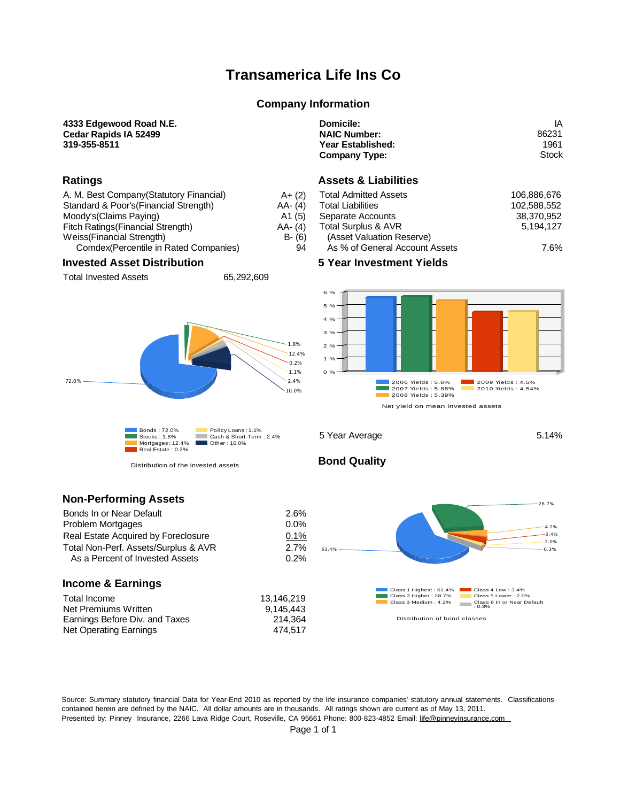# **Transamerica Life Ins Co**

### **Company Information**

### **4333 Edgewood Road N.E. Cedar Rapids IA 52499**

**319-355-8511**

### **Ratings**

| A. M. Best Company (Statutory Financial) | $A + (2)$  |
|------------------------------------------|------------|
| Standard & Poor's (Financial Strength)   | $AA - (4)$ |
| Moody's (Claims Paying)                  | A1(5)      |
| Fitch Ratings (Financial Strength)       | $AA - (4)$ |
| Weiss(Financial Strength)                | $B - (6)$  |
| Comdex(Percentile in Rated Companies)    | 94         |

### **Invested Asset Distribution**

Total Invested Assets 65,292,609



Distribution of the invested assets

| Domicile:            | ΙA    |
|----------------------|-------|
| <b>NAIC Number:</b>  | 86231 |
| Year Established:    | 1961  |
| <b>Company Type:</b> | Stock |

### **Assets & Liabilities**

| <b>Total Admitted Assets</b>   | 106.886.676 |
|--------------------------------|-------------|
| <b>Total Liabilities</b>       | 102.588.552 |
| Separate Accounts              | 38,370,952  |
| Total Surplus & AVR            | 5.194.127   |
| (Asset Valuation Reserve)      |             |
| As % of General Account Assets | 7 6%        |

**5 Year Investment Yields**



5 Year Average 5.14%

### **Non-Performing Assets**

| Bonds In or Near Default             | 2.6%    |
|--------------------------------------|---------|
| <b>Problem Mortgages</b>             | $0.0\%$ |
| Real Estate Acquired by Foreclosure  | 0.1%    |
| Total Non-Perf. Assets/Surplus & AVR | 2.7%    |
| As a Percent of Invested Assets      | 0.2%    |

### **Income & Earnings**

| Total Income                   |  |
|--------------------------------|--|
| Net Premiums Written           |  |
| Earnings Before Div. and Taxes |  |
| Net Operating Earnings         |  |

**Bond Quality**



Source: Summary statutory financial Data for Year-End 2010 as reported by the life insurance companies' statutory annual statements. Classifications contained herein are defined by the NAIC. All dollar amounts are in thousands. All ratings shown are current as of May 13, 2011. Presented by: Pinney Insurance, 2266 Lava Ridge Court, Roseville, CA 95661 Phone: 800-823-4852 Email: [life@pinneyinsurance.com](mailto:life@pinneyinsurance.com)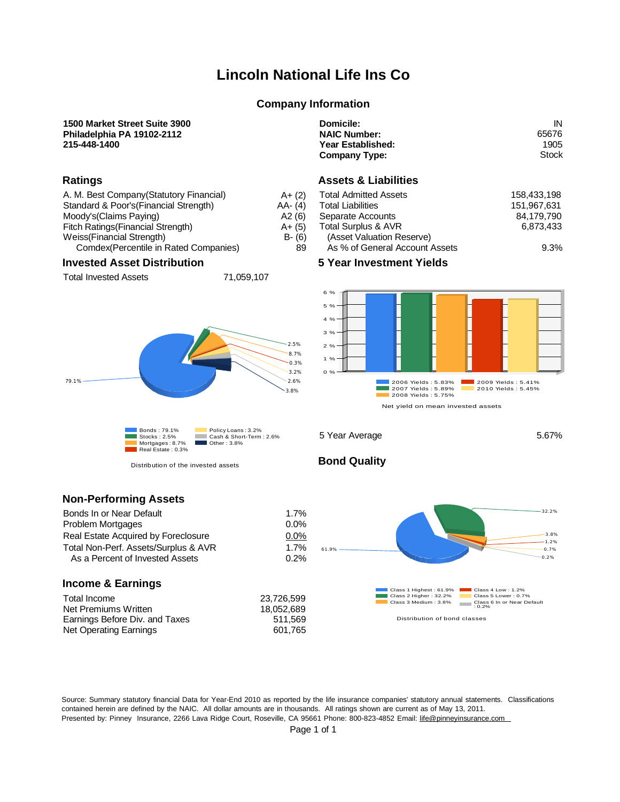# **Lincoln National Life Ins Co**

### **Company Information**

### **1500 Market Street Suite 3900 Philadelphia PA 19102-2112 215-448-1400**

### **Ratings**

| A. M. Best Company (Statutory Financial) | $A + (2)$  |
|------------------------------------------|------------|
| Standard & Poor's (Financial Strength)   | $AA - (4)$ |
| Moody's (Claims Paying)                  | A2(6)      |
| Fitch Ratings (Financial Strength)       | $A + (5)$  |
| Weiss(Financial Strength)                | $B - (6)$  |
| Comdex(Percentile in Rated Companies)    | 89         |

### **Invested Asset Distribution**

Total Invested Assets 71,059,107



Distribution of the invested assets

| Domicile:            | ΙN    |
|----------------------|-------|
| <b>NAIC Number:</b>  | 65676 |
| Year Established:    | 1905  |
| <b>Company Type:</b> | Stock |

### **Assets & Liabilities**

| <b>Total Admitted Assets</b>   | 158.433.198 |
|--------------------------------|-------------|
| <b>Total Liabilities</b>       | 151.967.631 |
| Separate Accounts              | 84,179,790  |
| <b>Total Surplus &amp; AVR</b> | 6.873.433   |
| (Asset Valuation Reserve)      |             |
| As % of General Account Assets | 9.3%        |

**5 Year Investment Yields**



5 Year Average 5.67%

### **Non-Performing Assets**

| Bonds In or Near Default             | 1.7%    |
|--------------------------------------|---------|
| <b>Problem Mortgages</b>             | $0.0\%$ |
| Real Estate Acquired by Foreclosure  | $0.0\%$ |
| Total Non-Perf. Assets/Surplus & AVR | 1.7%    |
| As a Percent of Invested Assets      | 0.2%    |

### **Income & Earnings**

| Total Income                   |  |
|--------------------------------|--|
| Net Premiums Written           |  |
| Earnings Before Div. and Taxes |  |
| Net Operating Earnings         |  |

**Bond Quality**



Source: Summary statutory financial Data for Year-End 2010 as reported by the life insurance companies' statutory annual statements. Classifications contained herein are defined by the NAIC. All dollar amounts are in thousands. All ratings shown are current as of May 13, 2011. Presented by: Pinney Insurance, 2266 Lava Ridge Court, Roseville, CA 95661 Phone: 800-823-4852 Email: [life@pinneyinsurance.com](mailto:life@pinneyinsurance.com)

Page 1 of 1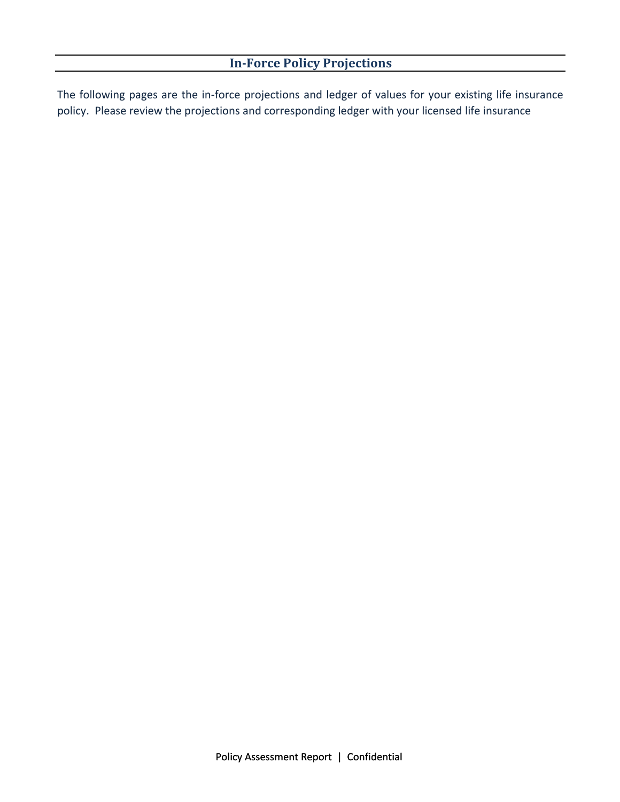The following pages are the in‐force projections and ledger of values for your existing life insurance policy. Please review the projections and corresponding ledger with your licensed life insurance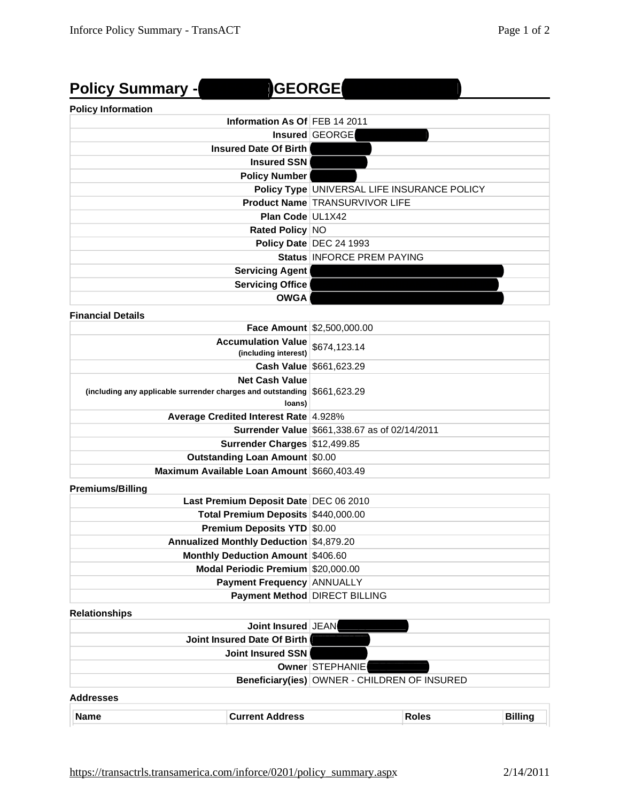|  | <b>Policy Summary -</b> |  |
|--|-------------------------|--|
|--|-------------------------|--|

# **Policy Summary - 92455272 GEORGE W ROSENFELD GEORGE**

### **Policy Information**

| Information As Of FEB 14 2011 |                                             |
|-------------------------------|---------------------------------------------|
|                               | Insured GEORGE                              |
| <b>Insured Date Of Birth</b>  |                                             |
| Insured SSN                   |                                             |
| <b>Policy Number</b>          |                                             |
|                               | Policy Type UNIVERSAL LIFE INSURANCE POLICY |
|                               | <b>Product Name TRANSURVIVOR LIFE</b>       |
| <b>Plan Code UL1X42</b>       |                                             |
| Rated Policy NO               |                                             |
|                               | Policy Date DEC 24 1993                     |
|                               | Status INFORCE PREM PAYING                  |
| <b>Servicing Agent</b>        |                                             |
| <b>Servicing Office</b>       |                                             |
| <b>OWGA</b>                   |                                             |
| <b>Financial Details</b>      |                                             |

|                                                                                                                | Face Amount \$2,500,000.00                           |
|----------------------------------------------------------------------------------------------------------------|------------------------------------------------------|
| <b>Accumulation Value</b><br>(including interest) \$674,123.14                                                 |                                                      |
|                                                                                                                | Cash Value \$661,623.29                              |
| <b>Net Cash Value</b><br>(including any applicable surrender charges and outstanding $$661,623,29$ )<br>loans) |                                                      |
| Average Credited Interest Rate 4.928%                                                                          |                                                      |
|                                                                                                                | <b>Surrender Value \$661,338.67 as of 02/14/2011</b> |
| Surrender Charges \$12,499.85                                                                                  |                                                      |
| <b>Outstanding Loan Amount \$0.00</b>                                                                          |                                                      |
| Maximum Available Loan Amount \$660,403.49                                                                     |                                                      |

**Premiums/Billing**

| Last Premium Deposit Date DEC 06 2010    |                               |
|------------------------------------------|-------------------------------|
| Total Premium Deposits \$440,000.00      |                               |
| <b>Premium Deposits YTD \$0.00</b>       |                               |
| Annualized Monthly Deduction \$4,879.20  |                               |
| <b>Monthly Deduction Amount \$406.60</b> |                               |
| Modal Periodic Premium \$20,000.00       |                               |
| <b>Payment Frequency ANNUALLY</b>        |                               |
|                                          | Payment Method DIRECT BILLING |

### **Relationships**

|                  | Joint Insured JEAN          |                                              |              |                |
|------------------|-----------------------------|----------------------------------------------|--------------|----------------|
|                  | Joint Insured Date Of Birth |                                              |              |                |
|                  | Joint Insured SSN           |                                              |              |                |
|                  |                             | Owner STEPHANIE                              |              |                |
|                  |                             | Beneficiary(ies) OWNER - CHILDREN OF INSURED |              |                |
| <b>Addresses</b> |                             |                                              |              |                |
| <b>Name</b>      | <b>Current Address</b>      |                                              | <b>Roles</b> | <b>Billing</b> |

| <b>Name</b> | <b>Current Address</b> | Roles | <b>DUI</b> |
|-------------|------------------------|-------|------------|
| _____       |                        | _____ | ------     |
|             |                        |       |            |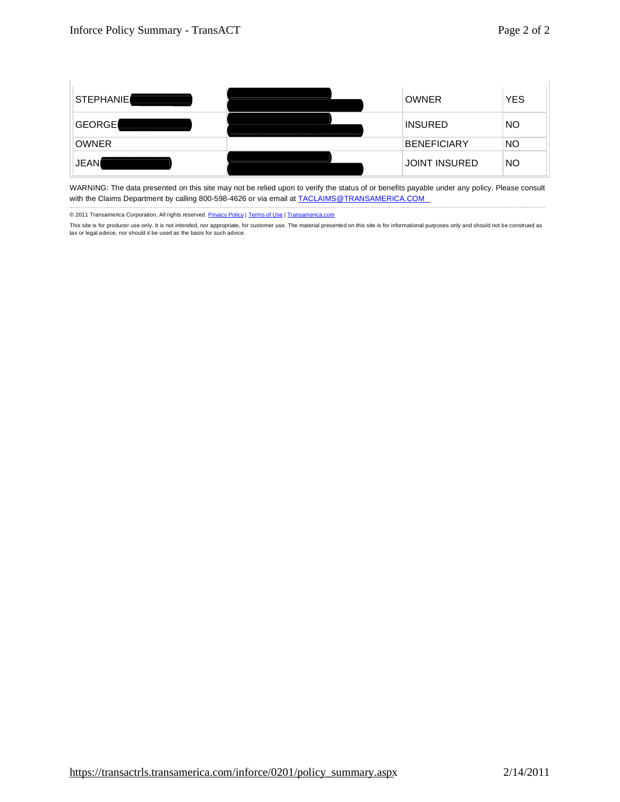

WARNING: The data presented on this site may not be relied upon to verify the status of or benefits payable under any policy. Please consult with the Claims Department by calling 800-598-4626 or via email at **[TACLAIMS@TRANSAMERICA.COM](mailto:TACLAIMS@TRANSAMERICA.COM)** 

© 2011 Transamerica Corporation, All rights reserved. Privacy Policy | Terms of Use | Transamerica.com

This site is for producer use only. It is not intended, nor appropriate, for customer use. The material presented on this site is for informational purposes only and should not be construed as tax or legal advice, nor should it be used as the basis for such advice.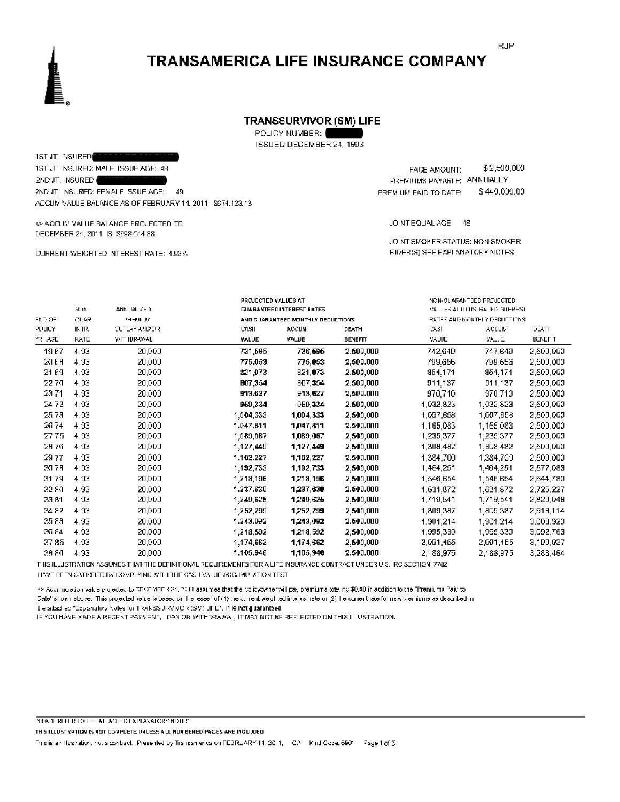### TRANSSURVIVOR (SM) LIFE

POLICY NUMBER:

ISSUED DECEMBER 24, 1993

1ST JT. VSURED 1ST JT INSURED: MALE ISSUE AGE: 48 2ND JT. NSURED 2ND JT INSURED: FEMALE ISSUE AGE: 49 ACCUM VALUE BALANCE AS OF FEBRUARY 14, 2011 \$674,123.13

 $\Leftrightarrow$  ACCUR VALUE BALANCE FROUFCTED TO DECEMBER 24, 2011 IS \$698.014.88

CURRENT WEIGHTED INTEREST RATE: 1,93%

FACE AMOUNT: \$2,500,000 PREMIUMS PAYABLE: ANNUALLY \$440,000.00 FREM UM FAID TO DATE:

JOINT EQUAL AGE 48

JOINT SMOKER STATUS: NON-SMOKER EIDER(S) SEE EXPLANATORY NOTES.

| M. IN | ANN. 141-71-0 |           | <b>CUARANTEED INTEREST RATES</b>   |                     |           |           |                                                                                              |
|-------|---------------|-----------|------------------------------------|---------------------|-----------|-----------|----------------------------------------------------------------------------------------------|
| CL.AR | 24-MIL.6      |           | AND C JARANTEED MONTHLY DEDUCTIONS |                     |           |           |                                                                                              |
| INTR. | CUTLAY AND OR | CASH      | <b>ACCUY</b>                       | <b>DEATH</b>        | - 25      | ACCUM     | 22ATI                                                                                        |
| RATE  | WE IDRAWAL    | VALUE     | VALUE                              | BENEFTT             | VALUE     | 99.12     | <b>BENEFT</b>                                                                                |
| 4.93  | 20,000        | 731,595   | 736,595                            | 2.500,000           | 742,649   | 747,640   | 2,503,003                                                                                    |
| 4.93  | 20,000        | 775.053   | 775,053                            | 2,500.000           | 799,656   | 799,653   | 2,500,000                                                                                    |
| 4.93  | 20,000        | 821,073   | 821,073                            | 2.500,00D           | 854,171   | 854,171   | 2,503,003                                                                                    |
| 4.93  | 20,000        | BC7,354   | 867,354                            | 2.500,000           | 911,137   | 911, 37   | 2,503,003                                                                                    |
| 4.93  | 20,000        | 913.627   | 913,627                            | 2,500.000           | 970,710   | 970,710   | 2,500,000                                                                                    |
| 4.93  | 20,000        | 959,334   | 959,334                            | 2.500,000           | 1,032,823 | 1.032,823 | 2,503,003                                                                                    |
| 4.93  | 20,000        | 1,004,333 | 1,004,333                          | 2,500,000           | 1,097,658 | 1,007,658 | 2,503,003                                                                                    |
| 4.93  | 20,000        | 1.047.811 | 1,047,811                          | 2,500,000           | 1,165.083 | 1.165,083 | 2,500,000                                                                                    |
| 4.93  | 20,000        | 1,089,067 | 1,089,067                          | 2,500,000           | 1,235,377 | 1,235,377 | 2,503,003                                                                                    |
| 4.93  | 20,000        | 1,127,440 | 1,127,449                          | 2,500,000           | 1,308,492 | 1,308,482 | 2,503,003                                                                                    |
| 4.93  | 20,000        | 1.162.227 | 1,162,227                          | 2,500,000           | 1,384,709 | 1,384,709 | 2,500,000                                                                                    |
| 4.93  | 20,000        | 1,192,733 | 1,192,733                          | 2.500,000           | 1,464,251 | 1.464.251 | 2,577,083                                                                                    |
| 4.93  | 20,000        | 1,218,196 | 1,218,196                          | 2,500,000           | 1,546.654 | 1,546,654 | 2,644,780                                                                                    |
| 4.93  | 20,000        | 1.237.630 | 1,237,630                          | 2,500,000           | 1,631.872 | 1.631,872 | 2,725,227                                                                                    |
| 4.93  | 20,000        | 1,249,625 | 1,249,625                          | 2,500,000           | 1,719,541 | 1,719,541 | 2,823,049                                                                                    |
| 4.93  | 20,000        | 1,252,290 | 1,252,209                          | 2,500,000           | 1,309.387 | 1.805,387 | 2,913,114                                                                                    |
| 4.93  | 20,000        | 1.243.092 | 1,243,092                          | 2,500,000           | 1,901.214 | 1,901,214 | 3,003,920                                                                                    |
| 4.93  | 20,000        | 1,218,592 | 1,218,592                          | 2,500,000           | 1,995,330 | 1,995,330 | 3,092,763                                                                                    |
| 4.93  | 20,000        | 1,174,662 | 1,174,662                          | 2,500,000           | 2,091,455 | 2,091,455 | 3,199,927                                                                                    |
| 4.93  | 20,000        | 1.105.946 | 1,105,946                          | 2,500,000           | 2,188,975 | 2,188,975 | 3,283,464                                                                                    |
|       |               |           |                                    | PROJECTED VALUES AT |           |           | NON-SUARANTEED PROJECTED<br>VALUES AT ILLUS IPALIED MIEREST<br>RATEF AND MONTHLY DEDUCTIONS. |

THIS ILLUSTRATION ASSUMES THAT THE DEFINITIONAL REQUIREMENTS FOR A LITE INSURANCE CONTRACT UNDER U.S. IRC SECTION 7702. HAVE BEEN SATISFIED BY COMP. YING WITH THE GAS TWO UF ACCUMULATION TEST.

<> Accuracion value projected to DECEMBER 24, 2011 assumes that the policypymer will pay premiums totaling \$0.00 in addition to the "Premiums Paid to Date" shown above. This projected value is based on the ressent(1) the conent weighted interest retain(2) the current rate for new premiums as described in the attached "Explanatory Notes for TRANSSURVIVOR (SM) LIFE". It is not guaranteed.

IF YOU HAVE VADE A REGENT PAYMENT. DAN OR WITHDRAWAL, IT MAY NOT BE REFLECTED ON THIS III, USTRATION.

**BEASE REFER TO THE AT ACEHDEMPIANATORY NOTES** 

THIS ILLUSTRATION IS NOT COMPLETE UNLESS ALL NUMBERED PAGES ARE INCLUDED

This is an Ilustration, not a pontract. Presented by Transamerica on FEBRUARY 14, 2011, ICA II Kind Gode, 6901 Page 1 of 5

**RJP**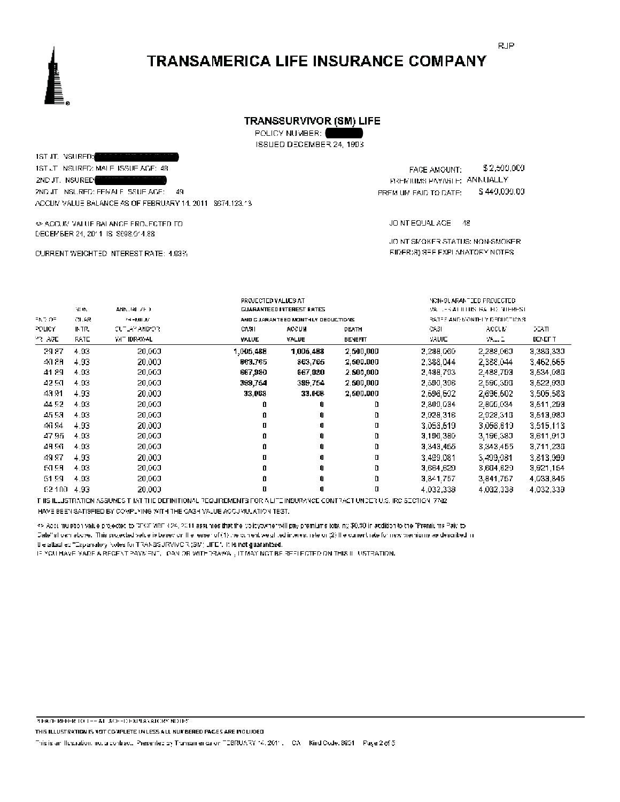### TRANSSURVIVOR (SM) LIFE

POLICY NUMBER:

ISSUED DECEMBER 24, 1993

1ST JT. NSURED: 1ST JT INSURED: MALE ISSUE AGE: 48 2ND JT. NSURED 2ND JT INSURED: FEMALE ISSUE AGE: 49 ACCUM VALUE BALANCE AS OF FEBRUARY 14, 2011 \$674,123.13

 $\Leftrightarrow$  ACCUR VALUE BALANCE FROUFCTED TO DECEMBER 24, 2011 IS \$698.014.88

CURRENT WEIGHTED INTEREST RATE: 1,93%

\$2,500,000 FACE AMOUNT: PREMIUMS PAYABLE: ANNUALLY \$440,000.00 FREM UM FAID TO DATE:

JOINT EQUAL AGE 48

JOINT SMOKER STATUS: NON-SMOKER EIDER(S) SEE EXPLANATORY NOTES.

|             |       |               | <b>PROJECTED VALUES AT</b>       |                                    |                                    |                               | NON-GUARANTEED PROJECTED. |               |  |
|-------------|-------|---------------|----------------------------------|------------------------------------|------------------------------------|-------------------------------|---------------------------|---------------|--|
|             | M.W.  | ANN. 141-71-0 | <b>CUARANTEED INTEREST RATES</b> |                                    | VALUES AT ITTUS THAT HE MITTERFST. |                               |                           |               |  |
| ラトラ・ロラ      | CLAR  | 24-MIL.M      |                                  | AND C JARANTEED MONTHLY DEDUCTIONS |                                    | RATEF AND MONTHLY DEDUCTIONS. |                           |               |  |
| POLICY      | INTR. | CUTLAY AND/OR | CVAL                             | ACCUY                              | DEATH                              | -2651                         | ACCUM                     | 22ATI         |  |
| 73. AGE     | RATE  | WE IDRAWAL    | YALUE                            | VALUE                              | BENEFTT                            | VALUE                         | VA 2                      | <b>BENEFT</b> |  |
| 29.87       | 4.93  | 20,000        | 1,005,488                        | 1,005,488                          | 2,500,000                          | 2,288.060                     | 2.288,060                 | 3,383,330     |  |
| 40.89       | 4.93  | 20,000        | 863.765                          | 363,765                            | 2,500.000                          | 2,388.044                     | 2.388,044                 | 3,462,665     |  |
| 41.89       | 4.93  | 20,000        | 667,980                          | 667,980                            | 2.500,000                          | 2,488.793                     | 2,488,793                 | 3,534,085     |  |
| 42.50       | 4.93  | 20,000        | 399,754                          | 399,754                            | 2.500,000                          | 2,599.396                     | 2.590,393                 | 3,522,930     |  |
| 43.91       | 4.93  | 20,000        | 33,068                           | 33.068                             | 2,500.000                          | 2,696.602                     | 2,696,602                 | 3,505,583     |  |
| 44.92       | 4.93  | 20,000        | ۵                                | 0                                  | D                                  | 2,809.034                     | 2.805,034                 | 3,511,293     |  |
| 45.93       | 4.93  | 20,000        | û                                |                                    | D                                  | 2,928.316                     | 2.028,315                 | 3,513,980     |  |
| 46.94       | 4.93  | 20,000        | 0                                |                                    | о                                  | 3,053,619                     | 3,056,619                 | 3,515,113     |  |
| 47.95.      | 4.93  | 20,000        | û                                |                                    | D                                  | 3,196.380                     | 3.196,380                 | 3,611,910     |  |
| 49.56       | 4.93  | 20,000        | û                                |                                    | D                                  | 3,343,455                     | 3,343,455                 | 3,711,233     |  |
| 49.97       | 4.93  | 20,000        | п                                |                                    | п                                  | 3,499,081                     | 3.499.081                 | 3,813,999     |  |
| 60.98       | 4.93  | 20,000        | û                                |                                    | D                                  | 3,664,629                     | 3,664,629                 | 3,921,154     |  |
| 51.59       | 4.93  | 20,000        | û                                |                                    | D                                  | 3,841.757                     | 3.841,757                 | 4,033,845     |  |
| £2 100 4.93 |       | 20,000        | О                                |                                    | D                                  | 4,032,338                     | 4,032,338                 | 4,032,339     |  |

IT IIS ILLUSTRATION ASSUMES TI KITTI IE DEFINITIONAL REQUIREMENTS FOR ALLTE INSURANCE CONTRACT UNDER U.S. IRC SECTION 7702. HAVE BEEN SATISFIED BY COMPLYING WITH THE CASH VALUE ACCUMULATION TEST.

<> Accuration value projected to DFCF MRF 3.24, 2011 assumes that the policypymer will pay premiums totaing \$0.00 in addition to the "Premiums Paid to

Date" shown above. This projected value is based on the ressent of (1) the conject weighted interest reterm (2) the current rate for new premiums as described in If elaffacilied "Explanatory Notes for TRANSSURVIVOR (SM) LIFE". It is not guaranteed.

IF YOU HAVE VADE A REGENT PAYMENT, LOAN OR WITHDRAWAL, IT MAY NOT BE REFLECTED ON THIS III, USTRATION.

**BEASE REFER TO THE AT ACEHDEMPIANATORY NOTES** 

THIS ILLUSTRATION IS NOT COMPLETE UNLESS ALL NUMBERED PAGES ARE INCLUDED

This is an Ilustration, not a contract. Presented by Transamerica on TEBRUARY 14, 2011. CA - Kind Oxde, 8851 - Page 2 of 5

**RJP**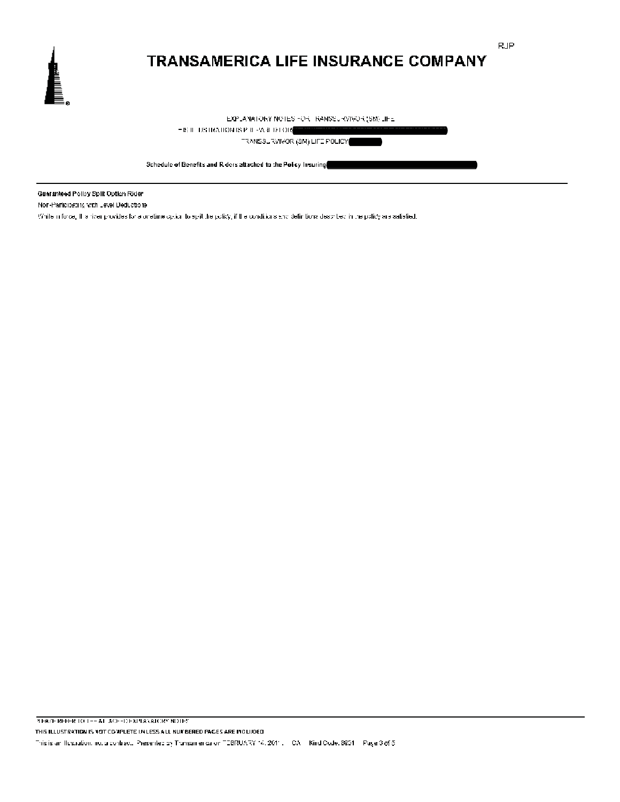

**RJP** 

EXPLANATORY NOTES FOR TRANSSURVIVOR (SM) LIFE.

 $-18.0 \cdot 108.043410 \, \text{N18 P} \cdot \text{R} \cdot \text{AA} \cdot \text{B} \cdot \text{I} \cdot \text{O} \cdot \text{R}$ 

TRANSSURVIVOR (SM) LIFE POLICY

Schedule of Benefits and R ders attached to the Policy Insuring

Guaranteed Policy Split Option Rider

Non-Participating with Level Deductions

While inforce, It a rider provides for a onetime option to split the policy, if the conditions sind definitions described in the policy are satisfied.

**REAZE REFER TO THE AT ACEHDEXPLANATORY NOTES** THIS ILLUSTRATION IS NOT COMPLETE UNLESS ALL NUMBERED PAGES ARE INCLUDED. This is an Ilustration, not a contract. Presented by Transamerica on TEBRUARY 14, 2011. CA Kind Code, 8831 Page 3 of 5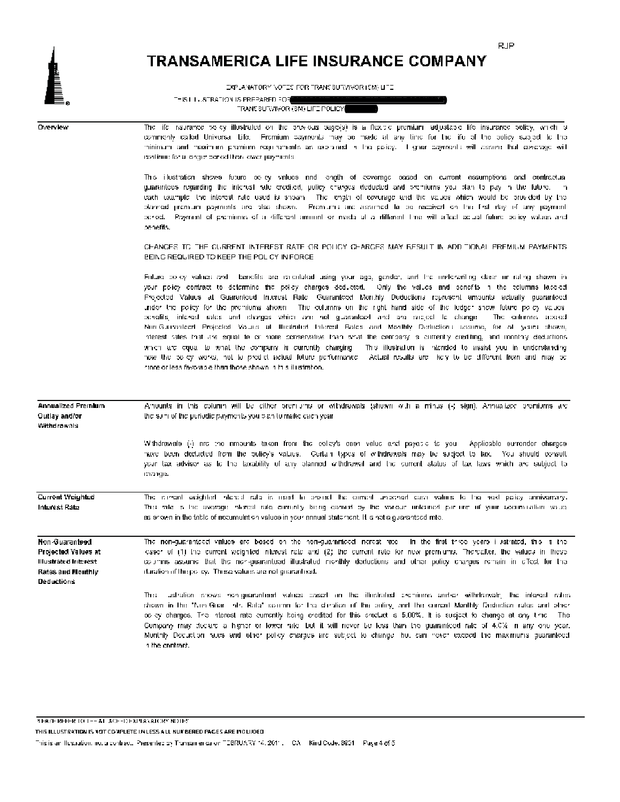D

EXPLANATORY NOTES FOR TRANSBUTWIVOR (5M) LITE

THIS LILLSTRATION IS PREPARED FOR TRANE SURVIVOR (SM) LIFE POLICY

| Overvlew                                                                                        | The life risurance we'dy illustrated on the provious page(s) is a flexible premium adjustable life insurance policy, which is<br>commenty called Universal Life. Fromium payments may be made at any time for the ife of the bolicy subject to the<br>minimum and maximum premium requirements as explained in the policy. If gher coyments will assume that coverage will<br>readings for a longer cened than lower payments.                                                                                                                                                                                                                                                                                                                                                                                                                                                                                                                                                                                                                                                                                                                                                                |
|-------------------------------------------------------------------------------------------------|-----------------------------------------------------------------------------------------------------------------------------------------------------------------------------------------------------------------------------------------------------------------------------------------------------------------------------------------------------------------------------------------------------------------------------------------------------------------------------------------------------------------------------------------------------------------------------------------------------------------------------------------------------------------------------------------------------------------------------------------------------------------------------------------------------------------------------------------------------------------------------------------------------------------------------------------------------------------------------------------------------------------------------------------------------------------------------------------------------------------------------------------------------------------------------------------------|
|                                                                                                 | This illustration shows future being values and length of ecverage based on current assumptions and contractual<br>guarantees regarding the interest rate credited, policy charges deducted and premiorns you plan to pay in the future. In<br>each example. The interest rate used is shown. The length of coverage and the values which would be provided by the<br>planned promium poyments are also shown. Promium are assumed to be received on the first day of any payment.<br>period. Payment of premiums of a different amount or made at a different time will allect actual future policy values and<br>benefils.                                                                                                                                                                                                                                                                                                                                                                                                                                                                                                                                                                  |
|                                                                                                 | CHANGES TO THE CURRENT INTEREST RATE OR POLICY CHARGES MAY RESULT IN ADDITIONAL PREMIUM PAYMENTS.<br>EEING REQUIRED TO KEEP THE POLICY IN FORCE                                                                                                                                                                                                                                                                                                                                                                                                                                                                                                                                                                                                                                                                                                                                                                                                                                                                                                                                                                                                                                               |
|                                                                                                 | Future doley values and I benefits are rareulated using your age, gender, and the underwriting class un rating shown in<br>your policy contract to determine the policy charges deducted. Only the values and penefits in the eclumns lase-ed<br>Projected Values at Guaranteed Interest Ratel Guaranteed Monthly Deductions represent amounts actually guaranteed<br>under the policy for the promiums shown. The culumns on the right hand side of the ledger show future policy values,<br>perelits, interest rates and charges which are not guaranteed and are subject to change.<br>The cultimate aboat<br>Non-Guaranteert Projected Values at Illustrated Interest Rates and Monthly Derbictions assume, for at years shown,<br>nterest rates that are equal to or more conservative than what the company is ourrently crediting, and monthly deductions.<br>which are equal to what the company is currently charging<br>This illustration is intended to assist you in understanding<br>how the colley works, not to predict actual future performance. Actual results are likely to be different from and may be<br>rinne or less favorable than those shown in this illustration. |
| Annualized Premium<br>Outlay and/or<br>Withdrawals                                              | Amuunts in this column will be dither promums or withdrawals (shown with a minus (-) sign). Annualized promiums arc<br>the sum of the periodic payments you bian to make calch year.                                                                                                                                                                                                                                                                                                                                                                                                                                                                                                                                                                                                                                                                                                                                                                                                                                                                                                                                                                                                          |
|                                                                                                 | Withdrawals (-) are the amounts taken from the colley's cash value and payable to you. Applicable surrender charges<br>have been deducted from the policy's values. Certain types of withdrawals may be subject to tax. You should consolt<br>your tax advisor as to the laxability of any planned withdrawal and the current status of tax laws which are subject to<br>mange.                                                                                                                                                                                                                                                                                                                                                                                                                                                                                                                                                                                                                                                                                                                                                                                                               |
| Current Weighted<br>Interest Rate                                                               | The idinate weighted interest rate is used to protect the current unbened cash values to the heat policy anniversary.<br>This vite is the average interest rate currently being earned by the various unleaned partime of your accumulation value.<br>as anown in the table of accumulation values in your annual statement. It is not a guaranteed rate,                                                                                                                                                                                                                                                                                                                                                                                                                                                                                                                                                                                                                                                                                                                                                                                                                                     |
| Non-Guaranteed<br>Projected Values at<br>llustrated Interest<br>Rates and Monthly<br>Deductions | The non-guaranteed values are based on the non-guaranteed increat rate. In the first three years i ustrated, this is the<br>asser of (1) the current weighted interest rate and (2) the current rate for new premiums. Thereafter, the values in these<br>courtins assume that the non-guaranteed illustrated monthly deductions and other policy charges remain in effect for the<br>duration of the policy. These values are not quarantized.                                                                                                                                                                                                                                                                                                                                                                                                                                                                                                                                                                                                                                                                                                                                               |
|                                                                                                 | ustration shows non-grammleed values cased on the illustrated exemiums and/or withdrawals. The interest rates,<br>Th::<br>shown in the "Kim Gran" into Rate" column for the chiration of the policy, and the comon) Manthly Deduction rates and phich<br>as by charges. The interest rate currently being eredited for this product is 5,00%. It is subject to change at any time. The<br>Company may docard a higher or lower rate but it will never be less than the guaranteed rate of 4.0% in any one year.<br>Munthly Docuction rates and other policy charges are subject to change ibe, can never exceed the maximums guaranteed<br>h the contract.                                                                                                                                                                                                                                                                                                                                                                                                                                                                                                                                    |
|                                                                                                 |                                                                                                                                                                                                                                                                                                                                                                                                                                                                                                                                                                                                                                                                                                                                                                                                                                                                                                                                                                                                                                                                                                                                                                                               |

**REACH REFER TO THE AT ACHED EXPLANATORY NOTES.** 

THIS ILLUSTRATION IS NOT COMPLETE UNLESS ALL NUMBERED PAGES ARE INCLUDED

This is an Ilustration, not a contract. Presented by Transamerica on TEBRUARY 14, 2011. CA Kind Code, 8801 Page 4 of 5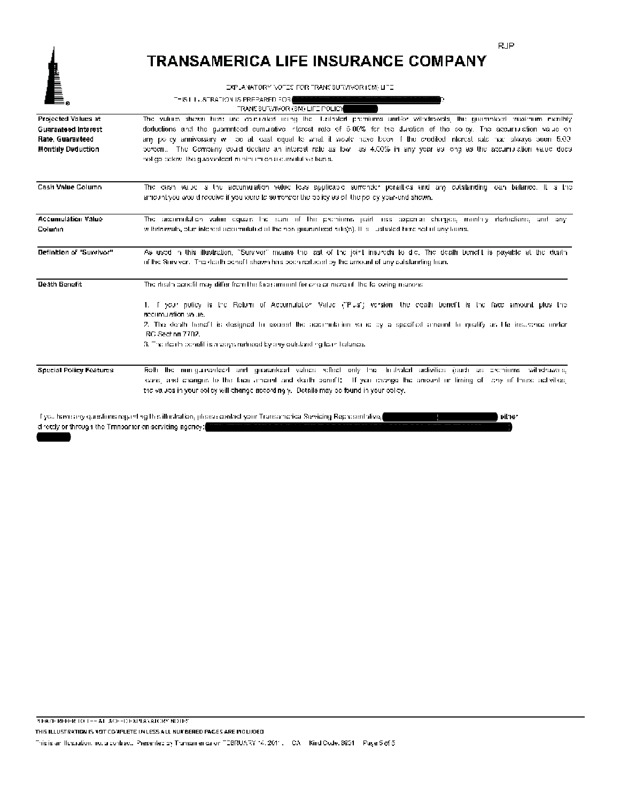EXPLANATORY NOTES FOR TRANSBUTWIVOR (5M) LITE

| E.                       | THIS LILLSTRATION IS PREPARED FOR                                                                                                                                                                                                   |
|--------------------------|-------------------------------------------------------------------------------------------------------------------------------------------------------------------------------------------------------------------------------------|
|                          | TRANE SURVIVOR (SM) LIFE POLICY                                                                                                                                                                                                     |
| Projected Values at      | The values shown here are calculated reang the lucabaled premiums and/or valodrowals, the guaranteed maximum meritily                                                                                                               |
| Guaranteed Interest      | deductions and the guaranteed cumulative interest rate of 5,00% for the duration of the solicy. The accurriulation value on                                                                                                         |
| Rate, Guaranteed         | any policy anniversary will be at least equal to what it would have been if the credited interest rate had have slows been 5.00 $\,$                                                                                                |
| <b>Monthly Deduction</b> | bercent. The Company could doclare an interest rate as low I as 4.00% in any year as long as the accurrination value does<br>holigo calcos. The guaranteert in him im on a cumulative basis.                                        |
| Cash Value Column        | The eash value is the accumulation value less applicable surrencky ponalties and any cutstanding can balance. It is the<br>amount you would receive if you were to surrencer the policy as of the policy year-end shown.            |
| Accumulation Value       | The accumulation value equals the sum of the premiums paid less experies charges, monthly deductions, and any                                                                                                                       |
| Colunin                  | withdrawals, blue interest accumulated at the non-guaranteed subgs). It is custrated here not of any trans.                                                                                                                         |
| Definition of "Survivor" | As used in this illustration, "Survivor" means the last of the joint insureds to die. The death benefit is payable at the death<br>of the Surviver. The death benefit shown has been reduced by the amount of any cutstanding tran. |
| Death Benefit            | The rhealth conditionaly differ from the face around for one or more of the to overig readors.                                                                                                                                      |
|                          | 1. I your puticy is the Return of Accomulation Value ("Pus") version the death benefit is the face amount plus the<br>accumulation value.                                                                                           |
|                          | 2. The death henoft is designed to exceed the accomplation value by a specified amount to qualify as He insurance under<br>RC Sechan 7702.                                                                                          |
|                          | 3. The ricath benefit is a ways reduced by any outstanding lean fialance.                                                                                                                                                           |
| Special Policy Features  | Roth the nun-guaranteed and guaranteed values reflect only the fusivaled adivities (such as exemiums withdrawns,                                                                                                                    |
|                          | cans, and changes to the face amount and death penefit; If you mange the amount or liming of lichy of these activities,                                                                                                             |
|                          | the values in your colley will change accordingly. Details may be found in your bolley.                                                                                                                                             |
|                          |                                                                                                                                                                                                                                     |

Tyou have any questions regarding this illustration, please contact your Transamorica Servicing Representative, either directly or through the Transamer calservicing agency: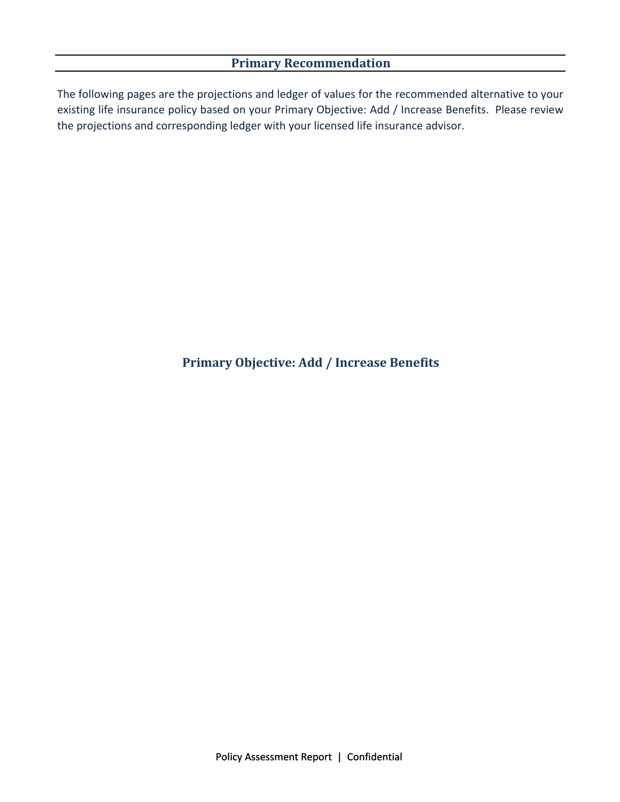# **Primary Recommendation**

The following pages are the projections and ledger of values for the recommended alternative to your existing life insurance policy based on your Primary Objective: Add / Increase Benefits. Please review the projections and corresponding ledger with your licensed life insurance advisor.

# **Primary Objective: Add / Increase Benefits**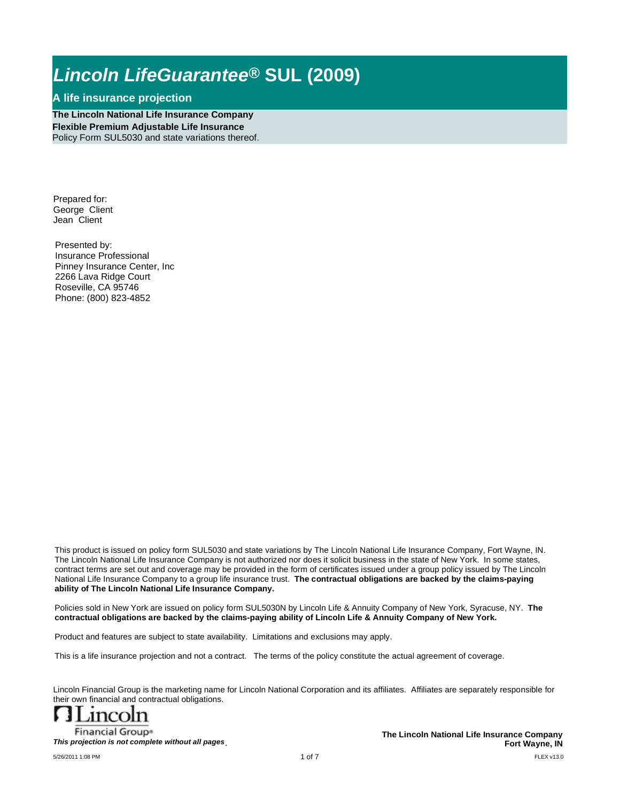### **A life insurance projection**

**The Lincoln National Life Insurance Company Flexible Premium Adjustable Life Insurance** Policy Form SUL5030 and state variations thereof.

Prepared for: George Client Jean Client

Presented by: Insurance Professional Pinney Insurance Center, Inc 2266 Lava Ridge Court Roseville, CA 95746 Phone: (800) 823-4852

This product is issued on policy form SUL5030 and state variations by The Lincoln National Life Insurance Company, Fort Wayne, IN. The Lincoln National Life Insurance Company is not authorized nor does it solicit business in the state of New York. In some states, contract terms are set out and coverage may be provided in the form of certificates issued under a group policy issued by The Lincoln National Life Insurance Company to a group life insurance trust. **The contractual obligations are backed by the claims-paying ability of The Lincoln National Life Insurance Company.**

Policies sold in New York are issued on policy form SUL5030N by Lincoln Life & Annuity Company of New York, Syracuse, NY. **The contractual obligations are backed by the claims-paying ability of Lincoln Life & Annuity Company of New York.** 

Product and features are subject to state availability. Limitations and exclusions may apply.

This is a life insurance projection and not a contract. The terms of the policy constitute the actual agreement of coverage.

Lincoln Financial Group is the marketing name for Lincoln National Corporation and its affiliates. Affiliates are separately responsible for their own financial and contractual obligations.



**Financial Group®** *This projection is not complete without all pages*.

FLEX v13.0 **The Lincoln National Life Insurance Company Fort Wayne, IN**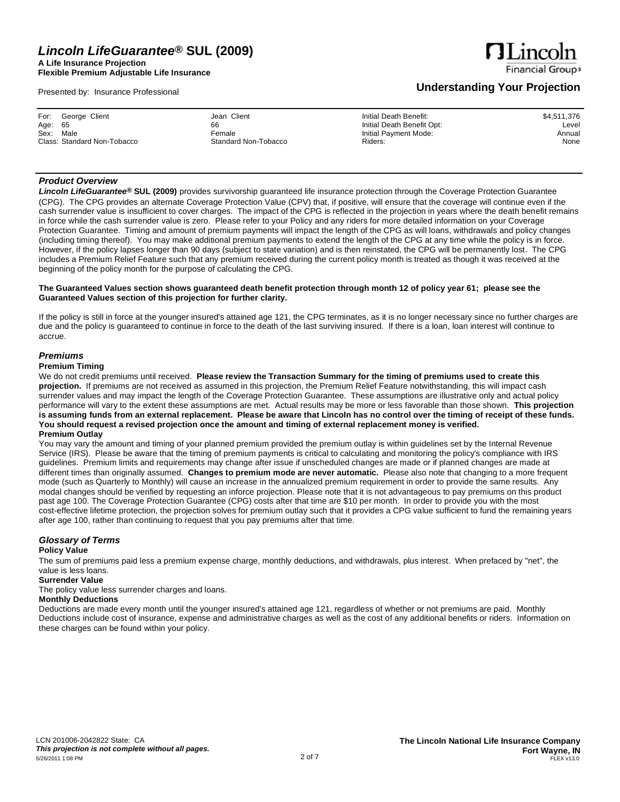**A Life Insurance Projection Flexible Premium Adjustable Life Insurance**

Presented by: Insurance Professional

# **ALinco Financial Group**

### **Understanding Your Projection**

| Jean Client<br>For: George Client<br>Age: 65<br>66<br>Sex:<br>Male<br>Female<br>Class: Standard Non-Tobacco<br>Standard Non-Tobacco | Initial Death Benefit:<br>\$4,511,376<br>Initial Death Benefit Opt:<br>Level<br>Initial Payment Mode:<br>Annual<br>None<br>Riders: |
|-------------------------------------------------------------------------------------------------------------------------------------|------------------------------------------------------------------------------------------------------------------------------------|
|-------------------------------------------------------------------------------------------------------------------------------------|------------------------------------------------------------------------------------------------------------------------------------|

### *Product Overview*

*Lincoln LifeGuarantee***® SUL (2009)** provides survivorship guaranteed life insurance protection through the Coverage Protection Guarantee (CPG). The CPG provides an alternate Coverage Protection Value (CPV) that, if positive, will ensure that the coverage will continue even if the cash surrender value is insufficient to cover charges. The impact of the CPG is reflected in the projection in years where the death benefit remains in force while the cash surrender value is zero. Please refer to your Policy and any riders for more detailed information on your Coverage Protection Guarantee. Timing and amount of premium payments will impact the length of the CPG as will loans, withdrawals and policy changes (including timing thereof). You may make additional premium payments to extend the length of the CPG at any time while the policy is in force. However, if the policy lapses longer than 90 days (subject to state variation) and is then reinstated, the CPG will be permanently lost. The CPG includes a Premium Relief Feature such that any premium received during the current policy month is treated as though it was received at the beginning of the policy month for the purpose of calculating the CPG.

### The Guaranteed Values section shows guaranteed death benefit protection through month 12 of policy year 61; please see the **Guaranteed Values section of this projection for further clarity.**

If the policy is still in force at the younger insured's attained age 121, the CPG terminates, as it is no longer necessary since no further charges are due and the policy is guaranteed to continue in force to the death of the last surviving insured. If there is a loan, loan interest will continue to accrue.

### *Premiums*

### **Premium Timing**

We do not credit premiums until received. Please review the Transaction Summary for the timing of premiums used to create this **projection.** If premiums are not received as assumed in this projection, the Premium Relief Feature notwithstanding, this will impact cash surrender values and may impact the length of the Coverage Protection Guarantee. These assumptions are illustrative only and actual policy performance will vary to the extent these assumptions are met. Actual results may be more or less favorable than those shown. **This projection**  is assuming funds from an external replacement. Please be aware that Lincoln has no control over the timing of receipt of these funds. You should request a revised projection once the amount and timing of external replacement money is verified. **Premium Outlay**

You may vary the amount and timing of your planned premium provided the premium outlay is within guidelines set by the Internal Revenue Service (IRS). Please be aware that the timing of premium payments is critical to calculating and monitoring the policy's compliance with IRS guidelines. Premium limits and requirements may change after issue if unscheduled changes are made or if planned changes are made at different times than originally assumed. **Changes to premium mode are never automatic.** Please also note that changing to a more frequent mode (such as Quarterly to Monthly) will cause an increase in the annualized premium requirement in order to provide the same results. Any modal changes should be verified by requesting an inforce projection. Please note that it is not advantageous to pay premiums on this product past age 100. The Coverage Protection Guarantee (CPG) costs after that time are \$10 per month. In order to provide you with the most cost-effective lifetime protection, the projection solves for premium outlay such that it provides a CPG value sufficient to fund the remaining years after age 100, rather than continuing to request that you pay premiums after that time.

#### *Glossary of Terms* **Policy Value**

The sum of premiums paid less a premium expense charge, monthly deductions, and withdrawals, plus interest. When prefaced by "net", the value is less loans.

**Surrender Value**

The policy value less surrender charges and loans.

### **Monthly Deductions**

Deductions are made every month until the younger insured's attained age 121, regardless of whether or not premiums are paid. Monthly Deductions include cost of insurance, expense and administrative charges as well as the cost of any additional benefits or riders. Information on these charges can be found within your policy.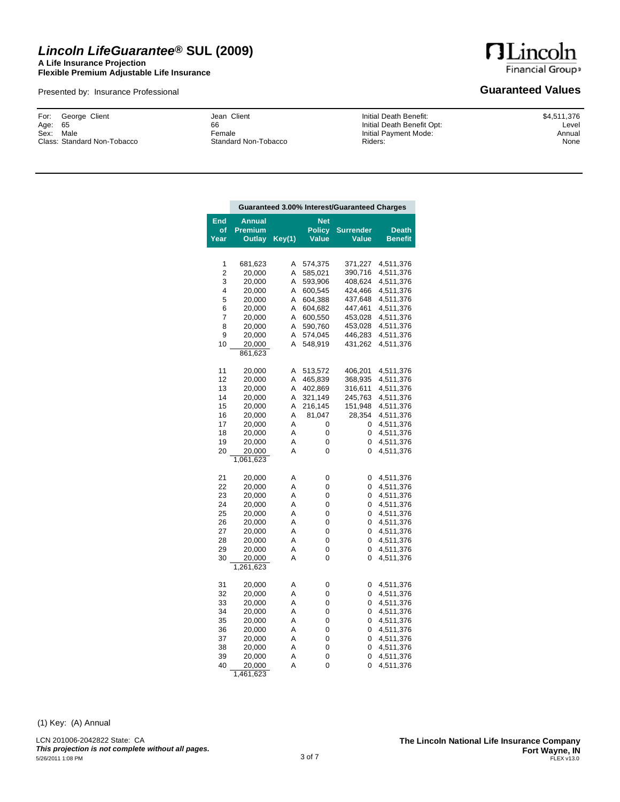### *Lincoln LifeGuarantee***® SUL (2009) A Life Insurance Projection**

**Flexible Premium Adjustable Life Insurance**

Presented by: Insurance Professional

**HLincoln** Financial Group»

### **Guaranteed Values**

George Client 65 Sex: Male Class: Standard Non-Tobacco For: Age:

Jean Client 66 Female Standard Non-Tobacco Initial Death Benefit: Initial Death Benefit Opt: Initial Payment Mode: Riders:

\$4,511,376 Level Annual None

|                    | Guaranteed 3.00% Interest/Guaranteed Charges |        |                 |                           |                                |
|--------------------|----------------------------------------------|--------|-----------------|---------------------------|--------------------------------|
| End                | Annual                                       |        | Net             |                           |                                |
| of<br><u>Y</u> ear | <b>Premium</b><br>Outlay                     | Key(1) | Policy<br>Value | <b>Surrender</b><br>Value | <b>Death</b><br><b>Benefit</b> |
|                    |                                              |        |                 |                           |                                |
|                    |                                              |        |                 |                           |                                |
| 1                  | 681,623                                      | Α      | 574,375         | 371,227                   | 4,511,376                      |
| 2                  | 20,000                                       | A      | 585,021         | 390,716                   | 4,511,376                      |
| 3                  | 20,000                                       | Α      | 593,906         | 408,624                   | 4,511,376                      |
| 4                  | 20,000                                       | Α      | 600,545         | 424,466                   | 4,511,376                      |
| 5                  | 20,000                                       | Α      | 604,388         | 437,648                   | 4,511,376                      |
| 6                  | 20,000                                       | Α      | 604,682         | 447,461                   | 4,511,376                      |
| 7                  | 20,000                                       | Α      | 600,550         | 453,028                   | 4,511,376                      |
| 8                  | 20,000                                       | Α      | 590,760         | 453,028                   | 4,511,376                      |
| 9                  | 20,000                                       | Α      | 574,045         | 446,283                   | 4,511,376                      |
| 10                 | 20,000                                       | Α      | 548,919         | 431,262                   | 4,511,376                      |
|                    | 861,623                                      |        |                 |                           |                                |
|                    |                                              |        |                 |                           |                                |
| 11                 | 20,000                                       | Α      | 513,572         | 406,201                   | 4,511,376                      |
| 12                 | 20,000                                       | Α      | 465,839         | 368,935                   | 4,511,376                      |
| 13                 | 20,000                                       | Α      | 402,869         | 316,611                   | 4,511,376                      |
| 14                 | 20,000                                       | Α      | 321,149         | 245,763                   | 4,511,376                      |
| 15                 | 20,000                                       | Α      | 216,145         | 151,948                   | 4,511,376                      |
| 16                 | 20,000                                       | Α      | 81,047          | 28,354                    | 4,511,376                      |
| 17                 | 20,000                                       | Α      | 0               | 0                         | 4,511,376                      |
| 18                 | 20,000                                       | Α      | 0               | 0                         | 4,511,376                      |
| 19                 | 20,000                                       | Α      | 0               | 0                         | 4,511,376                      |
| 20                 | 20,000                                       | Α      | 0               | 0                         | 4,511,376                      |
|                    | 1,061,623                                    |        |                 |                           |                                |
|                    |                                              |        |                 |                           |                                |
| 21                 | 20,000                                       | Α      | 0               | 0                         | 4,511,376                      |
| 22                 | 20,000                                       | Α      | 0               | 0                         | 4,511,376                      |
| 23                 | 20,000                                       | Α      | 0               | 0                         | 4,511,376                      |
| 24                 | 20,000                                       | Α      | 0               | 0                         | 4,511,376                      |
| 25                 | 20,000                                       | Α      | 0               | 0                         | 4,511,376                      |
| 26                 | 20,000                                       | Α      | 0               | 0                         | 4,511,376                      |
| 27                 | 20,000                                       | Α      | 0               | 0                         | 4,511,376                      |
| 28                 | 20,000                                       | Α      | 0               | 0                         | 4,511,376                      |
| 29                 | 20,000                                       | Α      | 0               | 0                         | 4,511,376                      |
| 30                 | 20,000                                       | Α      | 0               | 0                         | 4,511,376                      |
|                    | 1,261,623                                    |        |                 |                           |                                |
| 31                 | 20,000                                       | Α      | 0               | 0                         | 4,511,376                      |
| 32                 | 20,000                                       | Α      | 0               | 0                         | 4,511,376                      |
| 33                 | 20,000                                       | Α      | 0               | 0                         | 4,511,376                      |
| 34                 | 20,000                                       | Α      | 0               | 0                         | 4,511,376                      |
| 35                 | 20,000                                       | Α      | 0               | 0                         | 4,511,376                      |
| 36                 | 20,000                                       | Α      | 0               | 0                         | 4,511,376                      |
| 37                 | 20,000                                       | Α      | 0               | 0                         | 4,511,376                      |
| 38                 | 20,000                                       | Α      | 0               | 0                         | 4,511,376                      |
| 39                 | 20,000                                       | Α      | 0               | 0                         | 4,511,376                      |
| 40                 | 20,000                                       | A      | 0               | 0                         | 4,511,376                      |

(1) Key: (A) Annual

LCN 201006-2042822 State: CA *This projection is not complete without all pages.* 1,461,623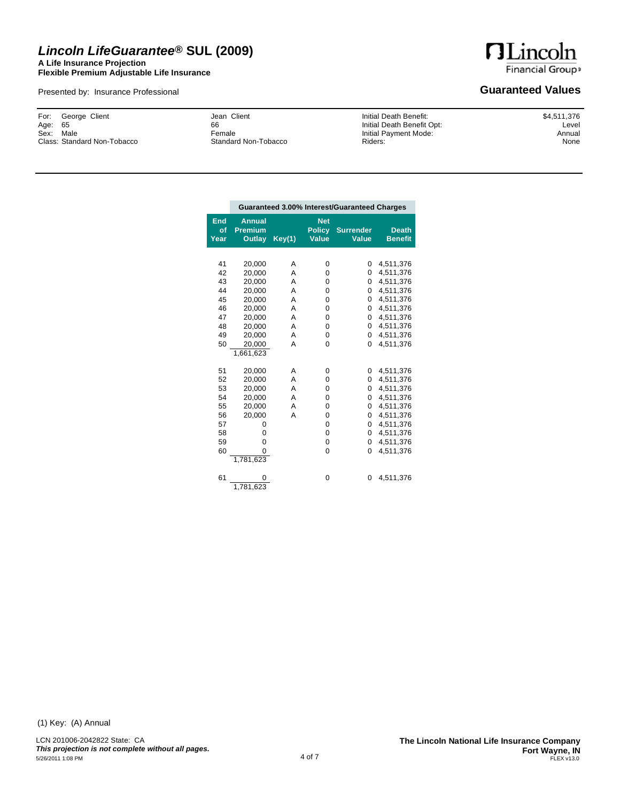### *Lincoln LifeGuarantee***® SUL (2009) A Life Insurance Projection**

**Flexible Premium Adjustable Life Insurance**

Presented by: Insurance Professional

**HLincoln** Financial Group»

### **Guaranteed Values**

George Client 65 Sex: Male Class: Standard Non-Tobacco For: Age:

Jean Client 66 Female Standard Non-Tobacco Initial Death Benefit: Initial Death Benefit Opt: Initial Payment Mode: Riders:

\$4,511,376 Level Annual None

|                   | Guaranteed 3.00% Interest/Guaranteed Charges     |        |                                             |                                  |                                |  |
|-------------------|--------------------------------------------------|--------|---------------------------------------------|----------------------------------|--------------------------------|--|
| End<br>of<br>Year | <b>Annual</b><br><b>Premium</b><br><b>Outlay</b> | Key(1) | <b>Net</b><br><b>Policy</b><br><b>Value</b> | <b>Surrender</b><br><b>Value</b> | <b>Death</b><br><b>Benefit</b> |  |
|                   |                                                  |        |                                             |                                  |                                |  |
| 41                | 20,000                                           | A      | 0                                           | 0                                | 4,511,376                      |  |
| 42                | 20,000                                           | A      | 0                                           | 0                                | 4,511,376                      |  |
| 43                | 20,000                                           | A      | 0                                           | 0                                | 4,511,376                      |  |
| 44                | 20,000                                           | A      | 0                                           | 0                                | 4,511,376                      |  |
| 45                | 20,000                                           | A      | 0                                           | $\Omega$                         | 4,511,376                      |  |
| 46                | 20,000                                           | A      | 0                                           | 0                                | 4,511,376                      |  |
| 47                | 20,000                                           | A      | 0                                           | 0                                | 4,511,376                      |  |
| 48                | 20,000                                           | A      | 0                                           | 0                                | 4,511,376                      |  |
| 49                | 20.000                                           | A      | 0                                           | 0                                | 4,511,376                      |  |
| 50                | 20,000                                           | Α      | 0                                           | 0                                | 4,511,376                      |  |
|                   | 1,661,623                                        |        |                                             |                                  |                                |  |
| 51                | 20,000                                           | A      | 0                                           | 0                                | 4,511,376                      |  |
| 52                | 20,000                                           | A      | 0                                           | 0                                | 4,511,376                      |  |
| 53                | 20,000                                           | Α      | 0                                           | 0                                | 4,511,376                      |  |
| 54                | 20,000                                           | A      | 0                                           | 0                                | 4,511,376                      |  |
| 55                | 20,000                                           | Α      | 0                                           | 0                                | 4,511,376                      |  |
| 56                | 20,000                                           | A      | 0                                           | $\Omega$                         | 4,511,376                      |  |
| 57                | 0                                                |        | 0                                           | 0                                | 4,511,376                      |  |
| 58                | 0                                                |        | 0                                           | 0                                | 4,511,376                      |  |
| 59                | 0                                                |        | 0                                           | 0                                | 4,511,376                      |  |
| 60                | 0                                                |        | 0                                           | 0                                | 4,511,376                      |  |
|                   | 1,781,623                                        |        |                                             |                                  |                                |  |
| 61                | ი<br>1,781,623                                   |        | 0                                           | 0                                | 4,511,376                      |  |

(1) Key: (A) Annual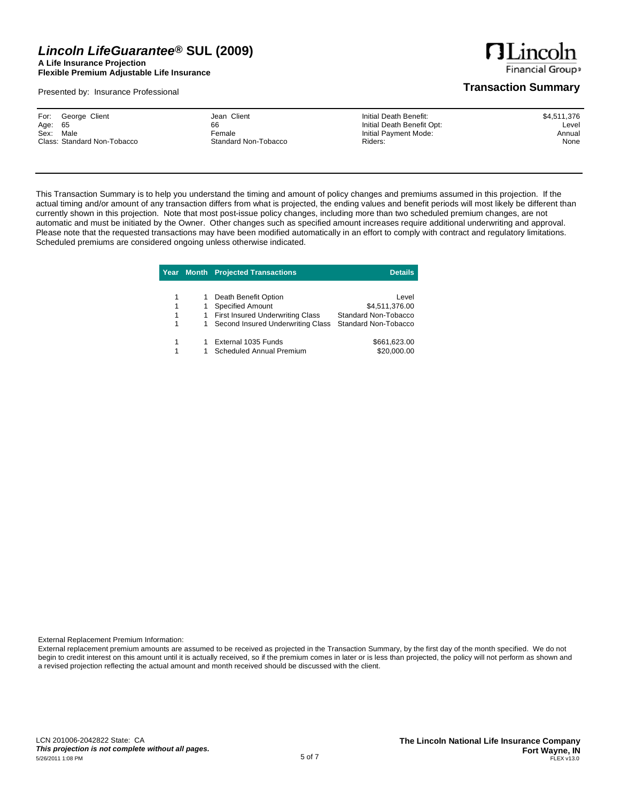**A Life Insurance Projection Flexible Premium Adjustable Life Insurance**

Presented by: Insurance Professional

**HLincoln Financial Groups** 

### **Transaction Summary**

This Transaction Summary is to help you understand the timing and amount of policy changes and premiums assumed in this projection. If the actual timing and/or amount of any transaction differs from what is projected, the ending values and benefit periods will most likely be different than currently shown in this projection. Note that most post-issue policy changes, including more than two scheduled premium changes, are not automatic and must be initiated by the Owner. Other changes such as specified amount increases require additional underwriting and approval. Please note that the requested transactions may have been modified automatically in an effort to comply with contract and regulatory limitations. Scheduled premiums are considered ongoing unless otherwise indicated.

|   |   | Year Month Projected Transactions       | <b>Details</b>       |
|---|---|-----------------------------------------|----------------------|
|   |   |                                         |                      |
| 1 | 1 | Death Benefit Option                    | Level                |
|   | 1 | <b>Specified Amount</b>                 | \$4,511,376.00       |
| 1 | 1 | <b>First Insured Underwriting Class</b> | Standard Non-Tobacco |
|   | 1 | Second Insured Underwriting Class       | Standard Non-Tobacco |
|   |   | External 1035 Funds                     | \$661,623.00         |
|   |   | <b>Scheduled Annual Premium</b>         | \$20,000.00          |

External Replacement Premium Information:

External replacement premium amounts are assumed to be received as projected in the Transaction Summary, by the first day of the month specified. We do not begin to credit interest on this amount until it is actually received, so if the premium comes in later or is less than projected, the policy will not perform as shown and a revised projection reflecting the actual amount and month received should be discussed with the client.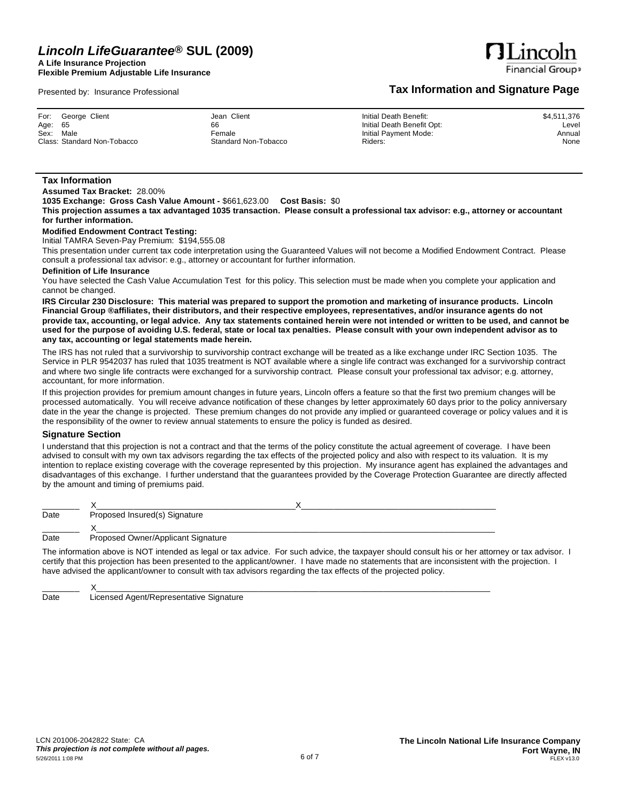**A Life Insurance Projection Flexible Premium Adjustable Life Insurance**

Presented by: Insurance Professional

**Financial Group** 

**Tax Information and Signature Page**

 $\eta$ Linco

|           | For: George Client          | Jean Client          | Initial Death Benefit:     | \$4,511,376 |
|-----------|-----------------------------|----------------------|----------------------------|-------------|
| Age: 65   |                             | 66                   | Initial Death Benefit Opt: | Level       |
| Sex: Male |                             | Female               | Initial Payment Mode:      | Annual      |
|           | Class: Standard Non-Tobacco | Standard Non-Tobacco | Riders:                    | None        |

### **Tax Information**

**Assumed Tax Bracket:** 28.00%

**1035 Exchange: Gross Cash Value Amount -** \$661,623.00 **Cost Basis:** \$0

This projection assumes a tax advantaged 1035 transaction. Please consult a professional tax advisor: e.g., attorney or accountant **for further information.**

### **Modified Endowment Contract Testing:**

Initial TAMRA Seven-Pay Premium: \$194,555.08

This presentation under current tax code interpretation using the Guaranteed Values will not become a Modified Endowment Contract. Please consult a professional tax advisor: e.g., attorney or accountant for further information.

#### **Definition of Life Insurance**

You have selected the Cash Value Accumulation Test for this policy. This selection must be made when you complete your application and cannot be changed.

IRS Circular 230 Disclosure: This material was prepared to support the promotion and marketing of insurance products. Lincoln Financial Group ®affiliates, their distributors, and their respective employees, representatives, and/or insurance agents do not provide tax, accounting, or legal advice. Any tax statements contained herein were not intended or written to be used, and cannot be used for the purpose of avoiding U.S. federal, state or local tax penalties. Please consult with your own independent advisor as to **any tax, accounting or legal statements made herein.**

The IRS has not ruled that a survivorship to survivorship contract exchange will be treated as a like exchange under IRC Section 1035. The Service in PLR 9542037 has ruled that 1035 treatment is NOT available where a single life contract was exchanged for a survivorship contract and where two single life contracts were exchanged for a survivorship contract. Please consult your professional tax advisor; e.g. attorney, accountant, for more information.

If this projection provides for premium amount changes in future years, Lincoln offers a feature so that the first two premium changes will be processed automatically. You will receive advance notification of these changes by letter approximately 60 days prior to the policy anniversary date in the year the change is projected. These premium changes do not provide any implied or guaranteed coverage or policy values and it is the responsibility of the owner to review annual statements to ensure the policy is funded as desired.

### **Signature Section**

I understand that this projection is not a contract and that the terms of the policy constitute the actual agreement of coverage. I have been advised to consult with my own tax advisors regarding the tax effects of the projected policy and also with respect to its valuation. It is my intention to replace existing coverage with the coverage represented by this projection. My insurance agent has explained the advantages and disadvantages of this exchange. I further understand that the guarantees provided by the Coverage Protection Guarantee are directly affected by the amount and timing of premiums paid.

| Date | Proposed Insured(s) Signature      |  |
|------|------------------------------------|--|
|      |                                    |  |
| Date | Proposed Owner/Applicant Signature |  |

The information above is NOT intended as legal or tax advice. For such advice, the taxpayer should consult his or her attorney or tax advisor. I certify that this projection has been presented to the applicant/owner. I have made no statements that are inconsistent with the projection. I have advised the applicant/owner to consult with tax advisors regarding the tax effects of the projected policy.

\_\_\_\_\_\_\_\_ X\_\_\_\_\_\_\_\_\_\_\_\_\_\_\_\_\_\_\_\_\_\_\_\_\_\_\_\_\_\_\_\_\_\_\_\_\_\_\_\_\_\_\_\_\_\_\_\_\_\_\_\_\_\_\_\_\_\_\_\_\_\_\_\_\_\_\_\_\_\_\_\_\_\_\_\_\_\_\_\_\_\_\_\_\_ Date Licensed Agent/Representative Signature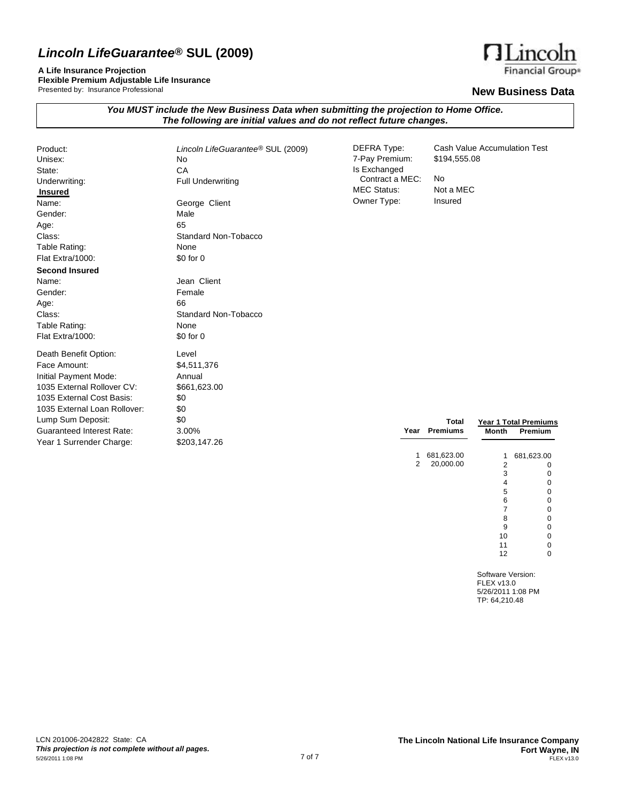**A Life Insurance Projection**

**Flexible Premium Adjustable Life Insurance** Presented by: Insurance Professional

### **New Business Data**

| You MUST include the New Business Data when submitting the projection to Home Office. |  |
|---------------------------------------------------------------------------------------|--|
| The following are initial values and do not reflect future changes.                   |  |

| Product:                         | Lincoln LifeGuarantee® SUL (2009) | <b>DEFRA Type:</b> | <b>Cash Value Accumulation Test</b>      |
|----------------------------------|-----------------------------------|--------------------|------------------------------------------|
| Unisex:                          | No                                | 7-Pay Premium:     | \$194,555.08                             |
| State:                           | CA                                | Is Exchanged       |                                          |
| Underwriting:                    | <b>Full Underwriting</b>          | Contract a MEC:    | No                                       |
| <b>Insured</b>                   |                                   | <b>MEC Status:</b> | Not a MEC                                |
| Name:                            | George Client                     | Owner Type:        | Insured                                  |
| Gender:                          | Male                              |                    |                                          |
| Age:                             | 65                                |                    |                                          |
| Class:                           | Standard Non-Tobacco              |                    |                                          |
| Table Rating:                    | None                              |                    |                                          |
| Flat Extra/1000:                 | \$0 for 0                         |                    |                                          |
| <b>Second Insured</b>            |                                   |                    |                                          |
| Name:                            | Jean Client                       |                    |                                          |
| Gender:                          | Female                            |                    |                                          |
| Age:                             | 66                                |                    |                                          |
| Class:                           | Standard Non-Tobacco              |                    |                                          |
| Table Rating:                    | None                              |                    |                                          |
| Flat Extra/1000:                 | \$0 for 0                         |                    |                                          |
| Death Benefit Option:            | Level                             |                    |                                          |
| Face Amount:                     | \$4,511,376                       |                    |                                          |
| Initial Payment Mode:            | Annual                            |                    |                                          |
| 1035 External Rollover CV:       | \$661,623.00                      |                    |                                          |
| 1035 External Cost Basis:        | \$0                               |                    |                                          |
| 1035 External Loan Rollover:     | \$0                               |                    |                                          |
| Lump Sum Deposit:                | \$0                               |                    | <b>Total</b><br>Year 1 Total Premiums    |
| <b>Guaranteed Interest Rate:</b> | 3.00%                             |                    | Year Premiums<br><b>Month</b><br>Premium |
| Year 1 Surrender Charge:         | \$203,147.26                      |                    |                                          |
|                                  |                                   |                    | 681,623.00<br>681,623.00<br>1            |
|                                  |                                   | 2                  | 20,000.00<br>$\overline{2}$<br>0         |

Software Version: FLEX v13.0 5/26/2011 1:08 PM TP: 64,210.48

 $n_{\text{Linear}}$  $\overline{\mathbf{n}}$ 

Financial Group®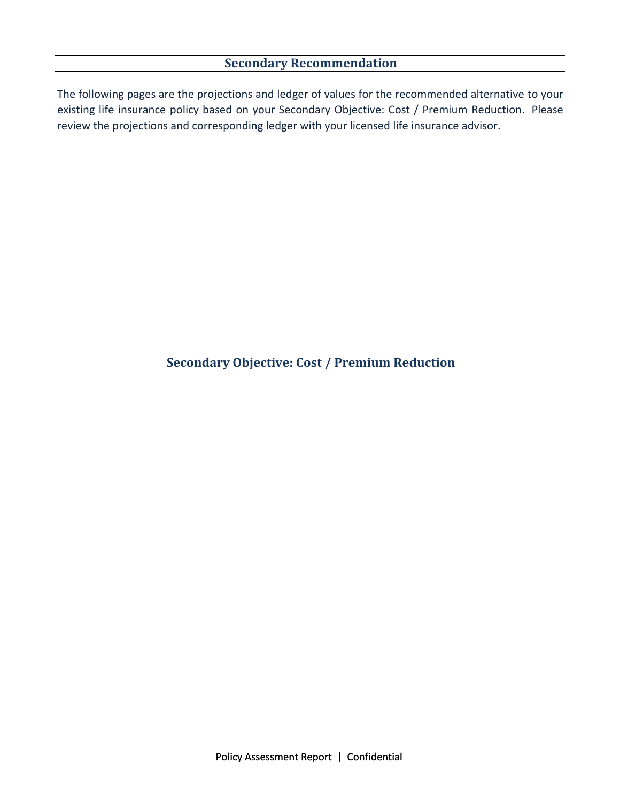# **Secondary Recommendation**

The following pages are the projections and ledger of values for the recommended alternative to your existing life insurance policy based on your Secondary Objective: Cost / Premium Reduction. Please review the projections and corresponding ledger with your licensed life insurance advisor.

# **Secondary Objective: Cost / Premium Reduction**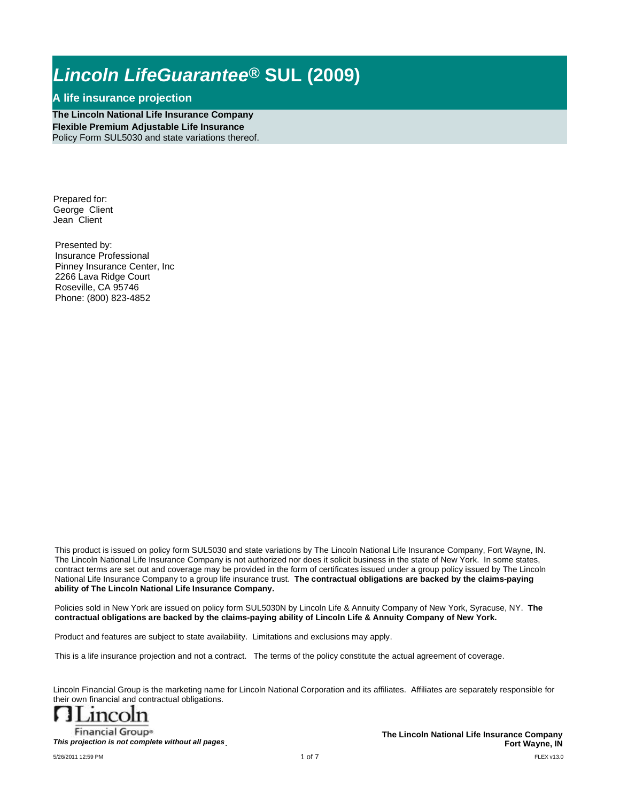### **A life insurance projection**

**The Lincoln National Life Insurance Company Flexible Premium Adjustable Life Insurance** Policy Form SUL5030 and state variations thereof.

Prepared for: George Client Jean Client

Presented by: Insurance Professional Pinney Insurance Center, Inc 2266 Lava Ridge Court Roseville, CA 95746 Phone: (800) 823-4852

This product is issued on policy form SUL5030 and state variations by The Lincoln National Life Insurance Company, Fort Wayne, IN. The Lincoln National Life Insurance Company is not authorized nor does it solicit business in the state of New York. In some states, contract terms are set out and coverage may be provided in the form of certificates issued under a group policy issued by The Lincoln National Life Insurance Company to a group life insurance trust. **The contractual obligations are backed by the claims-paying ability of The Lincoln National Life Insurance Company.**

Policies sold in New York are issued on policy form SUL5030N by Lincoln Life & Annuity Company of New York, Syracuse, NY. **The contractual obligations are backed by the claims-paying ability of Lincoln Life & Annuity Company of New York.** 

Product and features are subject to state availability. Limitations and exclusions may apply.

This is a life insurance projection and not a contract. The terms of the policy constitute the actual agreement of coverage.

Lincoln Financial Group is the marketing name for Lincoln National Corporation and its affiliates. Affiliates are separately responsible for their own financial and contractual obligations.



**Financial Group®** *This projection is not complete without all pages*.

FLEX v13.0 **The Lincoln National Life Insurance Company Fort Wayne, IN**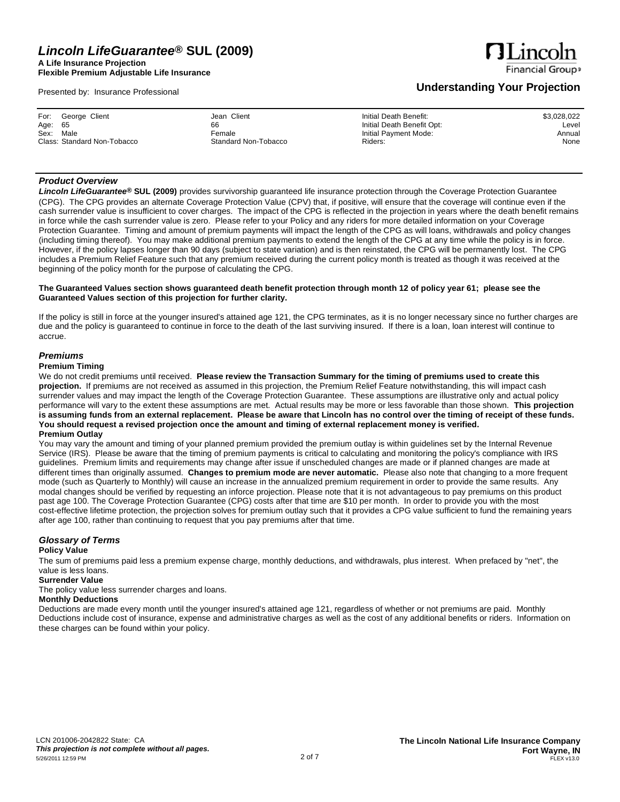**A Life Insurance Projection Flexible Premium Adjustable Life Insurance**

Presented by: Insurance Professional

# **Financial Group**

**ALinco** 

### **Understanding Your Projection**

| Jean Client<br>Initial Death Benefit:<br>For:<br>George Client<br>Initial Death Benefit Opt:<br>Age: 65<br>66<br>Sex:<br>Male<br>Initial Payment Mode:<br>Female<br>Class: Standard Non-Tobacco<br>Standard Non-Tobacco<br>Riders: | \$3,028,022<br>Level<br>Annual<br>None |
|------------------------------------------------------------------------------------------------------------------------------------------------------------------------------------------------------------------------------------|----------------------------------------|
|------------------------------------------------------------------------------------------------------------------------------------------------------------------------------------------------------------------------------------|----------------------------------------|

### *Product Overview*

*Lincoln LifeGuarantee***® SUL (2009)** provides survivorship guaranteed life insurance protection through the Coverage Protection Guarantee (CPG). The CPG provides an alternate Coverage Protection Value (CPV) that, if positive, will ensure that the coverage will continue even if the cash surrender value is insufficient to cover charges. The impact of the CPG is reflected in the projection in years where the death benefit remains in force while the cash surrender value is zero. Please refer to your Policy and any riders for more detailed information on your Coverage Protection Guarantee. Timing and amount of premium payments will impact the length of the CPG as will loans, withdrawals and policy changes (including timing thereof). You may make additional premium payments to extend the length of the CPG at any time while the policy is in force. However, if the policy lapses longer than 90 days (subject to state variation) and is then reinstated, the CPG will be permanently lost. The CPG includes a Premium Relief Feature such that any premium received during the current policy month is treated as though it was received at the beginning of the policy month for the purpose of calculating the CPG.

### The Guaranteed Values section shows guaranteed death benefit protection through month 12 of policy year 61; please see the **Guaranteed Values section of this projection for further clarity.**

If the policy is still in force at the younger insured's attained age 121, the CPG terminates, as it is no longer necessary since no further charges are due and the policy is guaranteed to continue in force to the death of the last surviving insured. If there is a loan, loan interest will continue to accrue.

### *Premiums*

### **Premium Timing**

We do not credit premiums until received. Please review the Transaction Summary for the timing of premiums used to create this **projection.** If premiums are not received as assumed in this projection, the Premium Relief Feature notwithstanding, this will impact cash surrender values and may impact the length of the Coverage Protection Guarantee. These assumptions are illustrative only and actual policy performance will vary to the extent these assumptions are met. Actual results may be more or less favorable than those shown. **This projection**  is assuming funds from an external replacement. Please be aware that Lincoln has no control over the timing of receipt of these funds. You should request a revised projection once the amount and timing of external replacement money is verified. **Premium Outlay**

You may vary the amount and timing of your planned premium provided the premium outlay is within guidelines set by the Internal Revenue Service (IRS). Please be aware that the timing of premium payments is critical to calculating and monitoring the policy's compliance with IRS guidelines. Premium limits and requirements may change after issue if unscheduled changes are made or if planned changes are made at different times than originally assumed. **Changes to premium mode are never automatic.** Please also note that changing to a more frequent mode (such as Quarterly to Monthly) will cause an increase in the annualized premium requirement in order to provide the same results. Any modal changes should be verified by requesting an inforce projection. Please note that it is not advantageous to pay premiums on this product past age 100. The Coverage Protection Guarantee (CPG) costs after that time are \$10 per month. In order to provide you with the most cost-effective lifetime protection, the projection solves for premium outlay such that it provides a CPG value sufficient to fund the remaining years after age 100, rather than continuing to request that you pay premiums after that time.

#### *Glossary of Terms* **Policy Value**

The sum of premiums paid less a premium expense charge, monthly deductions, and withdrawals, plus interest. When prefaced by "net", the value is less loans.

**Surrender Value**

The policy value less surrender charges and loans.

### **Monthly Deductions**

Deductions are made every month until the younger insured's attained age 121, regardless of whether or not premiums are paid. Monthly Deductions include cost of insurance, expense and administrative charges as well as the cost of any additional benefits or riders. Information on these charges can be found within your policy.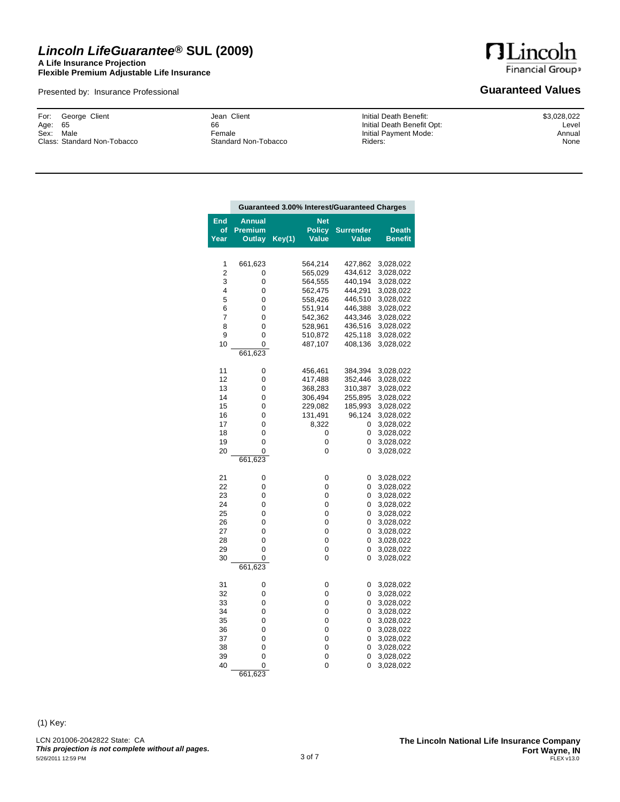### *Lincoln LifeGuarantee***® SUL (2009) A Life Insurance Projection**

**Flexible Premium Adjustable Life Insurance**

Presented by: Insurance Professional

**HLincoln** Financial Group»

### **Guaranteed Values**

George Client 65 Sex: Male Class: Standard Non-Tobacco For: Age:

Jean Client 66 Female Standard Non-Tobacco Initial Death Benefit: Initial Death Benefit Opt: Initial Payment Mode: Riders:

\$3,028,022 Level Annual None

|                                                          | Guaranteed 3.00% Interest/Guaranteed Charges                     |        |                                                                                        |                                                                                   |                                                                                                                                |
|----------------------------------------------------------|------------------------------------------------------------------|--------|----------------------------------------------------------------------------------------|-----------------------------------------------------------------------------------|--------------------------------------------------------------------------------------------------------------------------------|
| End<br>of<br>Year                                        | Annual<br><b>Premium</b><br>Outlay                               | Key(1) | <b>Net</b><br><b>Policy</b><br>Value                                                   | <b>Surrender</b><br>Value                                                         | <b>Death</b><br><b>Benefit</b>                                                                                                 |
| 1<br>2<br>3<br>4<br>5                                    | 661,623<br>0<br>0<br>0<br>0                                      |        | 564,214<br>565,029<br>564,555<br>562,475<br>558,426                                    | 427,862<br>434,612<br>440,194<br>444,291<br>446,510                               | 3,028,022<br>3,028,022<br>3,028,022<br>3,028,022<br>3,028,022                                                                  |
| 6<br>7<br>8<br>9<br>10                                   | 0<br>0<br>0<br>0<br>0<br>661,623                                 |        | 551,914<br>542,362<br>528,961<br>510,872<br>487,107                                    | 446,388<br>443,346<br>436,516<br>425,118<br>408,136                               | 3,028,022<br>3,028,022<br>3,028,022<br>3,028,022<br>3,028,022                                                                  |
| 11<br>12<br>13<br>14<br>15<br>16<br>17<br>18<br>19<br>20 | 0<br>0<br>0<br>0<br>0<br>0<br>0<br>0<br>0<br>$\Omega$<br>661,623 |        | 456,461<br>417,488<br>368,283<br>306,494<br>229,082<br>131,491<br>8,322<br>0<br>0<br>0 | 384,394<br>352,446<br>310,387<br>255,895<br>185,993<br>96,124<br>0<br>0<br>0<br>0 | 3,028,022<br>3,028,022<br>3,028,022<br>3,028,022<br>3,028,022<br>3,028,022<br>3,028,022<br>3,028,022<br>3,028,022<br>3,028,022 |
| 21<br>22<br>23<br>24<br>25<br>26<br>27<br>28<br>29<br>30 | 0<br>0<br>0<br>0<br>0<br>0<br>0<br>0<br>0<br>0<br>661,623        |        | 0<br>0<br>0<br>0<br>0<br>0<br>0<br>0<br>0<br>0                                         | 0<br>0<br>0<br>0<br>0<br>0<br>0<br>0<br>0<br>0                                    | 3,028,022<br>3,028,022<br>3,028,022<br>3,028,022<br>3,028,022<br>3,028,022<br>3,028,022<br>3,028,022<br>3,028,022<br>3,028,022 |
| 31<br>32<br>33<br>34<br>35<br>36<br>37<br>38<br>39<br>40 | 0<br>0<br>0<br>0<br>0<br>0<br>0<br>0<br>0<br>$\Omega$            |        | 0<br>0<br>0<br>0<br>0<br>0<br>0<br>0<br>0<br>0                                         | 0<br>0<br>0<br>0<br>0<br>0<br>0<br>0<br>0<br>0                                    | 3,028,022<br>3,028,022<br>3,028,022<br>3,028,022<br>3,028,022<br>3,028,022<br>3,028,022<br>3,028,022<br>3,028,022<br>3,028,022 |

(1) Key:

LCN 201006-2042822 State: CA *This projection is not complete without all pages.* 661,623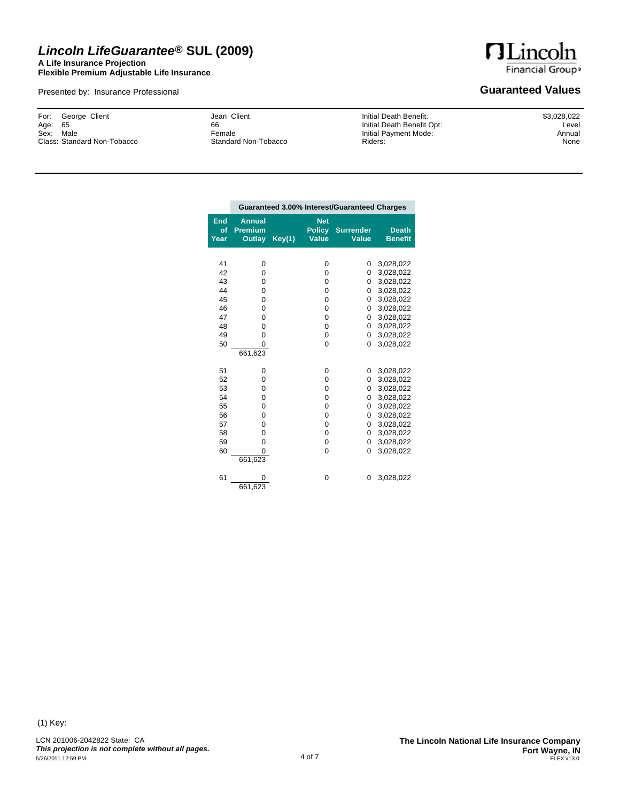### *Lincoln LifeGuarantee***® SUL (2009) A Life Insurance Projection**

**Flexible Premium Adjustable Life Insurance**

Presented by: Insurance Professional

**HLincoln** Financial Group»

### **Guaranteed Values**

George Client 65 Sex: Male Class: Standard Non-Tobacco For: Age:

Jean Client 66 Female Standard Non-Tobacco Initial Death Benefit: Initial Death Benefit Opt: Initial Payment Mode: Riders:

\$3,028,022 Level Annual None

|                          | Guaranteed 3.00% Interest/Guaranteed Charges |        |                                             |                                  |                                |
|--------------------------|----------------------------------------------|--------|---------------------------------------------|----------------------------------|--------------------------------|
| <b>End</b><br>of<br>Year | <b>Annual</b><br><b>Premium</b><br>Outlay    | Key(1) | <b>Net</b><br><b>Policy</b><br><b>Value</b> | <b>Surrender</b><br><b>Value</b> | <b>Death</b><br><b>Benefit</b> |
|                          |                                              |        |                                             |                                  |                                |
| 41                       | 0                                            |        | 0                                           | 0                                | 3,028,022                      |
| 42                       | 0                                            |        | 0                                           | 0                                | 3,028,022                      |
| 43                       | $\mathbf 0$                                  |        | 0                                           | 0                                | 3,028,022                      |
| 44                       | $\mathbf 0$                                  |        | 0                                           | 0                                | 3,028,022                      |
| 45                       | $\Omega$                                     |        | 0                                           | 0                                | 3,028,022                      |
| 46                       | $\mathbf 0$                                  |        | 0                                           | 0                                | 3,028,022                      |
| 47                       | $\mathbf 0$                                  |        | 0                                           | 0                                | 3,028,022                      |
| 48                       | $\Omega$                                     |        | $\Omega$                                    | 0                                | 3,028,022                      |
| 49                       | $\Omega$                                     |        | 0                                           | 0                                | 3,028,022                      |
| 50                       | $\Omega$                                     |        | $\Omega$                                    | 0                                | 3,028,022                      |
|                          | 661,623                                      |        |                                             |                                  |                                |
| 51                       | $\mathbf 0$                                  |        | 0                                           | 0                                | 3,028,022                      |
| 52                       | $\Omega$                                     |        | $\Omega$                                    | 0                                | 3,028,022                      |
| 53                       | $\mathbf 0$                                  |        | $\Omega$                                    | 0                                | 3,028,022                      |
| 54                       | $\mathbf 0$                                  |        | 0                                           | 0                                | 3,028,022                      |
| 55                       | $\Omega$                                     |        | 0                                           | 0                                | 3,028,022                      |
| 56                       | $\Omega$                                     |        | 0                                           | 0                                | 3,028,022                      |
| 57                       | $\Omega$                                     |        | 0                                           | 0                                | 3,028,022                      |
| 58                       | 0                                            |        | 0                                           | 0                                | 3,028,022                      |
| 59                       | $\Omega$                                     |        | 0                                           | $\Omega$                         | 3,028,022                      |
| 60                       | 0                                            |        | 0                                           | 0                                | 3,028,022                      |
|                          | 661,623                                      |        |                                             |                                  |                                |
| 61                       | 0                                            |        | 0                                           | 0                                | 3,028,022                      |
|                          | 661,623                                      |        |                                             |                                  |                                |

(1) Key: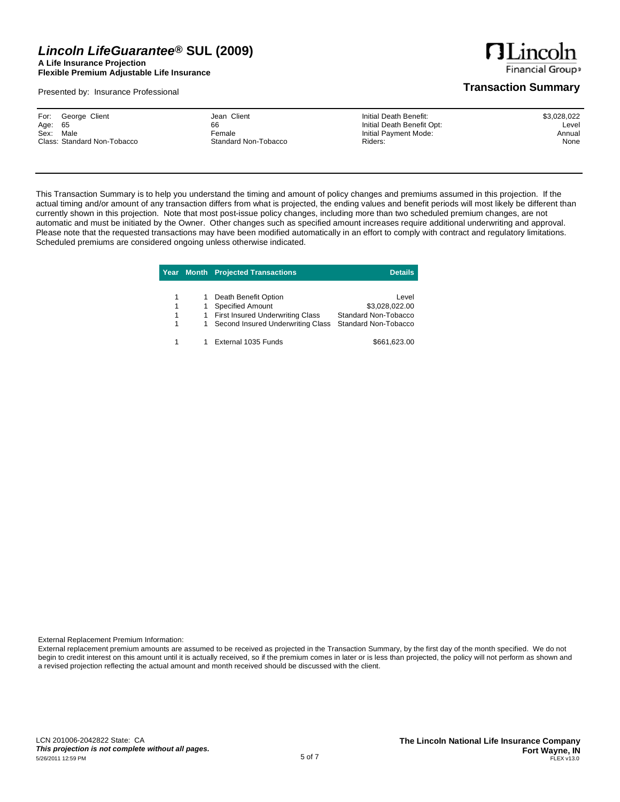**A Life Insurance Projection Flexible Premium Adjustable Life Insurance**

Presented by: Insurance Professional

**HLincoln Financial Groups** 

### **Transaction Summary**

This Transaction Summary is to help you understand the timing and amount of policy changes and premiums assumed in this projection. If the actual timing and/or amount of any transaction differs from what is projected, the ending values and benefit periods will most likely be different than currently shown in this projection. Note that most post-issue policy changes, including more than two scheduled premium changes, are not automatic and must be initiated by the Owner. Other changes such as specified amount increases require additional underwriting and approval. Please note that the requested transactions may have been modified automatically in an effort to comply with contract and regulatory limitations. Scheduled premiums are considered ongoing unless otherwise indicated.

|   |    | <b>Year Month Projected Transactions</b> | Details.             |
|---|----|------------------------------------------|----------------------|
|   |    |                                          |                      |
| 1 |    | Death Benefit Option                     | Level                |
| 1 |    | <b>Specified Amount</b>                  | \$3,028,022.00       |
| 1 | 1. | <b>First Insured Underwriting Class</b>  | Standard Non-Tobacco |
| 1 | 1  | Second Insured Underwriting Class        | Standard Non-Tobacco |
|   |    |                                          |                      |
|   |    | External 1035 Funds                      | \$661,623.00         |

External Replacement Premium Information:

External replacement premium amounts are assumed to be received as projected in the Transaction Summary, by the first day of the month specified. We do not begin to credit interest on this amount until it is actually received, so if the premium comes in later or is less than projected, the policy will not perform as shown and a revised projection reflecting the actual amount and month received should be discussed with the client.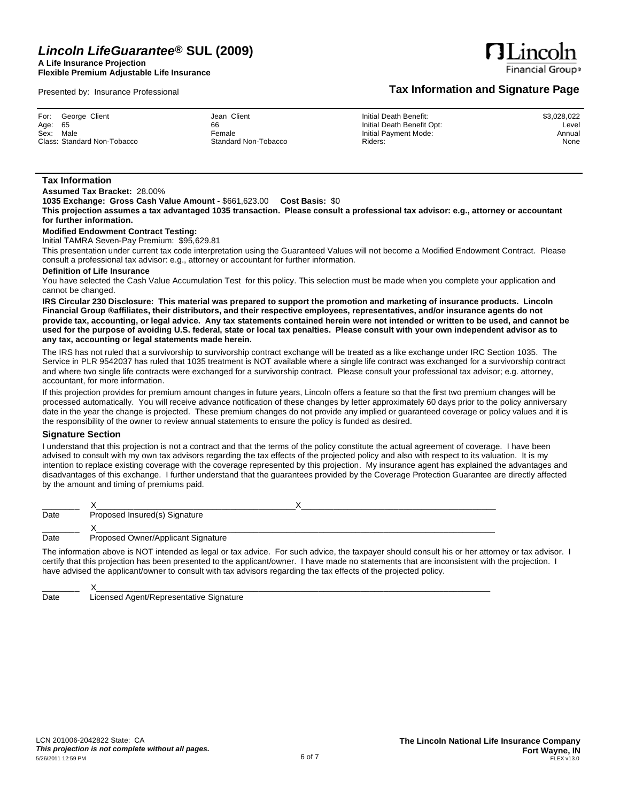**1035 Exchange: Gross Cash Value Amount -** \$661,623.00 **Cost Basis:** \$0

consult a professional tax advisor: e.g., attorney or accountant for further information.

**A Life Insurance Projection Flexible Premium Adjustable Life Insurance**

Presented by: Insurance Professional

**Assumed Tax Bracket:** 28.00%

**Modified Endowment Contract Testing:** Initial TAMRA Seven-Pay Premium: \$95,629.81

**any tax, accounting or legal statements made herein.**

For: Age: Sex: Class:

**Tax Information**

**for further information.**

**Definition of Life Insurance**

accountant, for more information.

cannot be changed.

the responsibility of the owner to review annual statements to ensure the policy is funded as desired. **Signature Section** I understand that this projection is not a contract and that the terms of the policy constitute the actual agreement of coverage. I have been advised to consult with my own tax advisors regarding the tax effects of the projected policy and also with respect to its valuation. It is my intention to replace existing coverage with the coverage represented by this projection. My insurance agent has explained the advantages and disadvantages of this exchange. I further understand that the guarantees provided by the Coverage Protection Guarantee are directly affected by the amount and timing of premiums paid.

| Date | Proposed Insured(s) Signature      |  |  |
|------|------------------------------------|--|--|
|      |                                    |  |  |
| Date | Proposed Owner/Applicant Signature |  |  |

The information above is NOT intended as legal or tax advice. For such advice, the taxpayer should consult his or her attorney or tax advisor. I certify that this projection has been presented to the applicant/owner. I have made no statements that are inconsistent with the projection. I have advised the applicant/owner to consult with tax advisors regarding the tax effects of the projected policy.

\_\_\_\_\_\_\_\_ X\_\_\_\_\_\_\_\_\_\_\_\_\_\_\_\_\_\_\_\_\_\_\_\_\_\_\_\_\_\_\_\_\_\_\_\_\_\_\_\_\_\_\_\_\_\_\_\_\_\_\_\_\_\_\_\_\_\_\_\_\_\_\_\_\_\_\_\_\_\_\_\_\_\_\_\_\_\_\_\_\_\_\_\_\_ Date Licensed Agent/Representative Signature

# **Tax Information and Signature Page**

| George Client        | Jean Client          | Initial Death Benefit:     | \$3,02 |
|----------------------|----------------------|----------------------------|--------|
| 65                   | 66                   | Initial Death Benefit Opt: |        |
| Male                 | Female               | Initial Payment Mode:      |        |
| Standard Non-Tobacco | Standard Non-Tobacco | Riders:                    |        |
|                      |                      |                            |        |

This projection assumes a tax advantaged 1035 transaction. Please consult a professional tax advisor: e.g., attorney or accountant

This presentation under current tax code interpretation using the Guaranteed Values will not become a Modified Endowment Contract. Please

You have selected the Cash Value Accumulation Test for this policy. This selection must be made when you complete your application and

IRS Circular 230 Disclosure: This material was prepared to support the promotion and marketing of insurance products. Lincoln Financial Group ®affiliates, their distributors, and their respective employees, representatives, and/or insurance agents do not provide tax, accounting, or legal advice. Any tax statements contained herein were not intended or written to be used, and cannot be used for the purpose of avoiding U.S. federal, state or local tax penalties. Please consult with your own independent advisor as to

The IRS has not ruled that a survivorship to survivorship contract exchange will be treated as a like exchange under IRC Section 1035. The Service in PLR 9542037 has ruled that 1035 treatment is NOT available where a single life contract was exchanged for a survivorship contract and where two single life contracts were exchanged for a survivorship contract. Please consult your professional tax advisor; e.g. attorney,

If this projection provides for premium amount changes in future years, Lincoln offers a feature so that the first two premium changes will be processed automatically. You will receive advance notification of these changes by letter approximately 60 days prior to the policy anniversary date in the year the change is projected. These premium changes do not provide any implied or guaranteed coverage or policy values and it is

28.022 Level Annual None

**HLince Financial Group**